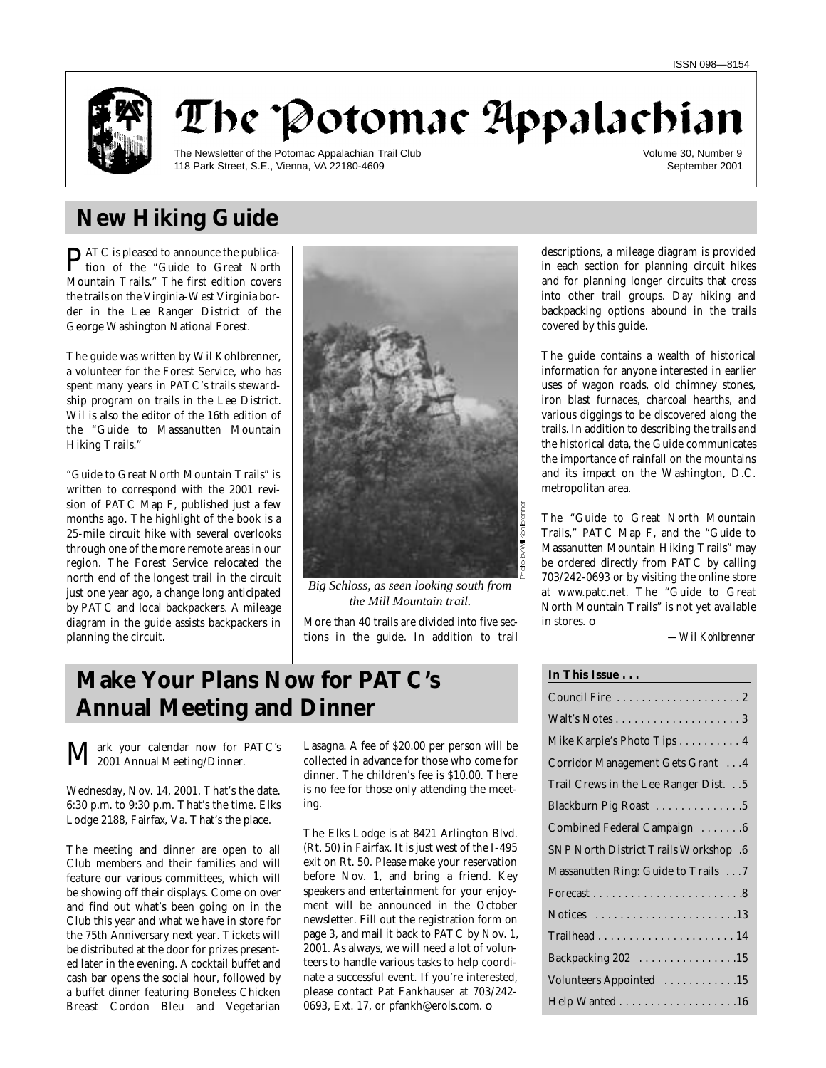

The Potomac Appalachian

The Newsletter of the Potomac Appalachian Trail Club 118 Park Street, S.E., Vienna, VA 22180-4609

Volume 30, Number 9 September 2001

# **New Hiking Guide**

**PATC** is pleased to announce the publication of the "Guide to Great North tion of the "Guide to Great North Mountain Trails." The first edition covers the trails on the Virginia-West Virginia border in the Lee Ranger District of the George Washington National Forest.

The guide was written by Wil Kohlbrenner, a volunteer for the Forest Service, who has spent many years in PATC's trails stewardship program on trails in the Lee District. Wil is also the editor of the 16th edition of the "Guide to Massanutten Mountain Hiking Trails."

"Guide to Great North Mountain Trails" is written to correspond with the 2001 revision of PATC Map F, published just a few months ago. The highlight of the book is a 25-mile circuit hike with several overlooks through one of the more remote areas in our region. The Forest Service relocated the north end of the longest trail in the circuit just one year ago, a change long anticipated by PATC and local backpackers. A mileage diagram in the guide assists backpackers in planning the circuit.



*Big Schloss, as seen looking south from the Mill Mountain trail.*

More than 40 trails are divided into five sections in the guide. In addition to trail

# **Make Your Plans Now for PATC's Annual Meeting and Dinner**

Mark your calendar now for PATC's 2001 Annual Meeting/Dinner.

Wednesday, Nov. 14, 2001. That's the date. 6:30 p.m. to 9:30 p.m. That's the time. Elks Lodge 2188, Fairfax, Va. That's the place.

The meeting and dinner are open to all Club members and their families and will feature our various committees, which will be showing off their displays. Come on over and find out what's been going on in the Club this year and what we have in store for the 75th Anniversary next year. Tickets will be distributed at the door for prizes presented later in the evening. A cocktail buffet and cash bar opens the social hour, followed by a buffet dinner featuring Boneless Chicken Breast Cordon Bleu and Vegetarian

Lasagna. A fee of \$20.00 per person will be collected in advance for those who come for dinner. The children's fee is \$10.00. There is no fee for those only attending the meeting.

The Elks Lodge is at 8421 Arlington Blvd. (Rt. 50) in Fairfax. It is just west of the I-495 exit on Rt. 50. Please make your reservation before Nov. 1, and bring a friend. Key speakers and entertainment for your enjoyment will be announced in the October newsletter. Fill out the registration form on page 3, and mail it back to PATC by Nov. 1, 2001. As always, we will need a lot of volunteers to handle various tasks to help coordinate a successful event. If you're interested, please contact Pat Fankhauser at 703/242- 0693, Ext. 17, or pfankh@erols.com. ❏

descriptions, a mileage diagram is provided in each section for planning circuit hikes and for planning longer circuits that cross into other trail groups. Day hiking and backpacking options abound in the trails covered by this guide.

The guide contains a wealth of historical information for anyone interested in earlier uses of wagon roads, old chimney stones, iron blast furnaces, charcoal hearths, and various diggings to be discovered along the trails. In addition to describing the trails and the historical data, the Guide communicates the importance of rainfall on the mountains and its impact on the Washington, D.C. metropolitan area.

The "Guide to Great North Mountain Trails," PATC Map F, and the "Guide to Massanutten Mountain Hiking Trails" may be ordered directly from PATC by calling 703/242-0693 or by visiting the online store at www.patc.net. The "Guide to Great North Mountain Trails" is not yet available in stores. ❏

*—Wil Kohlbrenner*

| Mike Karpie's Photo Tips 4                   |
|----------------------------------------------|
| Corridor Management Gets Grant  4            |
| Trail Crews in the Lee Ranger Dist. 5        |
| Blackburn Pig Roast 5                        |
| Combined Federal Campaign 6                  |
| <b>SNP North District Trails Workshop .6</b> |
| Massanutten Ring: Guide to Trails 7          |
|                                              |
|                                              |
|                                              |
| Backpacking 202 15                           |
| Volunteers Appointed 15                      |
| Help Wanted 16                               |
|                                              |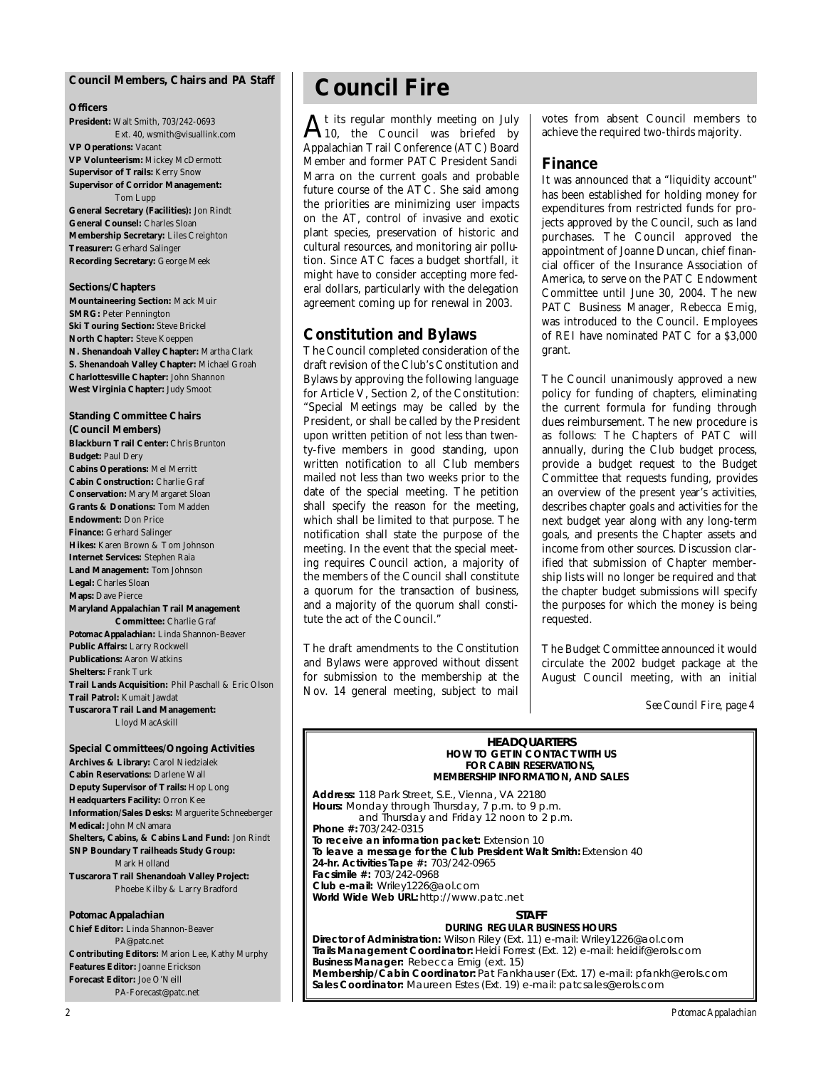#### **Council Members, Chairs and** *PA* **Staff**

#### **Officers**

**President:** Walt Smith, 703/242-0693 Ext. 40, wsmith@visuallink.com **VP Operations:** Vacant **VP Volunteerism:** Mickey McDermott **Supervisor of Trails:** Kerry Snow **Supervisor of Corridor Management:** Tom Lupp **General Secretary (Facilities):** Jon Rindt

**General Counsel:** Charles Sloan **Membership Secretary:** Liles Creighton **Treasurer:** Gerhard Salinger **Recording Secretary:** George Meek

#### **Sections/Chapters**

**Mountaineering Section:** Mack Muir **SMRG: Peter Pennington Ski Touring Section: Steve Brickel North Chapter:** Steve Koeppen **N. Shenandoah Valley Chapter:** Martha Clark **S. Shenandoah Valley Chapter:** Michael Groah **Charlottesville Chapter:** John Shannon **West Virginia Chapter:** Judy Smoot

## **Standing Committee Chairs**

**(Council Members) Blackburn Trail Center:** Chris Brunton **Budget:** Paul Dery **Cabins Operations:** Mel Merritt **Cabin Construction:** Charlie Graf **Conservation:** Mary Margaret Sloan **Grants & Donations:** Tom Madden **Endowment:** Don Price **Finance:** Gerhard Salinger **Hikes:** Karen Brown & Tom Johnson **Internet Services:** Stephen Raia **Land Management:** Tom Johnson **Legal:** Charles Sloan **Maps:** Dave Pierce **Maryland Appalachian Trail Management Committee:** Charlie Graf *Potomac Appalachian:* Linda Shannon-Beaver **Public Affairs:** Larry Rockwell **Publications:** Aaron Watkins **Shelters:** Frank Turk **Trail Lands Acquisition:** Phil Paschall & Eric Olson **Trail Patrol:** Kumait Jawdat **Tuscarora Trail Land Management:** Lloyd MacAskill

#### **Special Committees/Ongoing Activities Archives & Library:** Carol Niedzialek **Cabin Reservations:** Darlene Wall

**Deputy Supervisor of Trails:** Hop Long **Headquarters Facility:** Orron Kee **Information/Sales Desks:** Marguerite Schneeberger **Medical:** John McNamara **Shelters, Cabins, & Cabins Land Fund:** Jon Rindt **SNP Boundary Trailheads Study Group:** Mark Holland **Tuscarora Trail Shenandoah Valley Project:** Phoebe Kilby & Larry Bradford

#### *Potomac Appalachian*

**Chief Editor:** Linda Shannon-Beaver PA@patc.net **Contributing Editors:** Marion Lee, Kathy Murphy **Features Editor:** Joanne Erickson **Forecast Editor:** Joe O'Neill PA-Forecast@patc.net

## **Council Fire**

 $A_{10}$ , the Council was briefed by t its regular monthly meeting on July Appalachian Trail Conference (ATC) Board Member and former PATC President Sandi Marra on the current goals and probable future course of the ATC. She said among the priorities are minimizing user impacts on the AT, control of invasive and exotic plant species, preservation of historic and cultural resources, and monitoring air pollution. Since ATC faces a budget shortfall, it might have to consider accepting more federal dollars, particularly with the delegation agreement coming up for renewal in 2003.

#### **Constitution and Bylaws**

The Council completed consideration of the draft revision of the Club's Constitution and Bylaws by approving the following language for Article V, Section 2, of the Constitution: "Special Meetings may be called by the President, or shall be called by the President upon written petition of not less than twenty-five members in good standing, upon written notification to all Club members mailed not less than two weeks prior to the date of the special meeting. The petition shall specify the reason for the meeting, which shall be limited to that purpose. The notification shall state the purpose of the meeting. In the event that the special meeting requires Council action, a majority of the members of the Council shall constitute a quorum for the transaction of business, and a majority of the quorum shall constitute the act of the Council."

The draft amendments to the Constitution and Bylaws were approved without dissent for submission to the membership at the Nov. 14 general meeting, subject to mail

votes from absent Council members to achieve the required two-thirds majority.

#### **Finance**

It was announced that a "liquidity account" has been established for holding money for expenditures from restricted funds for projects approved by the Council, such as land purchases. The Council approved the appointment of Joanne Duncan, chief financial officer of the Insurance Association of America, to serve on the PATC Endowment Committee until June 30, 2004. The new PATC Business Manager, Rebecca Emig, was introduced to the Council. Employees of REI have nominated PATC for a \$3,000 grant.

The Council unanimously approved a new policy for funding of chapters, eliminating the current formula for funding through dues reimbursement. The new procedure is as follows: The Chapters of PATC will annually, during the Club budget process, provide a budget request to the Budget Committee that requests funding, provides an overview of the present year's activities, describes chapter goals and activities for the next budget year along with any long-term goals, and presents the Chapter assets and income from other sources. Discussion clarified that submission of Chapter membership lists will no longer be required and that the chapter budget submissions will specify the purposes for which the money is being requested.

The Budget Committee announced it would circulate the 2002 budget package at the August Council meeting, with an initial

*See Council Fire, page 4*

#### **HEADQUARTERS**<br>HOW TO GET IN CONTACT WITH US **FOR CABIN RESERVATIONS, FOR CABIN RESERVATIONS,**<br>FRSHIP INFORMATION AND

**MEMBERSHIP INFORMATION, AND SALES Address:** 118 Park Street, S.E., Vienna, VA 22180 **Hours:** Monday through Thursday, 7 p.m. to 7 p.m.<br>and Thursday and Friday 12 poop to 2 p. and Thursday and Friday 12 noon to 2 p.m. **Phone #: 703/242-0315<br>To receive an information packet: Extension 10** To leave a message for the Club President Walt Smith: Extension 40 **24-hr. Activities Tape #: 703/242-0965 Facsimile #: 703/242-0968** Club e-mail: Wriley1226@aol.com **Club e-mail:** Wriley1226@aol.com **World Wide Web URL:** http://www.patc.net

**STAFF<br>DURING REGULAR BUSINESS HOURS** Director of Administration: Wilson Riley (Ext. 11) e-mail: Wriley1226@aol.com Trails Management Coordinator: Heidi Forrest (Ext. 12) e-mail: heidif@erols.com **Trails Management Coordinator:** Heidi Forrest (Ext. 12) e-mail: heidif@erols.com **Business Manager:** Rebecca Emig (ext. 15) **Membership/Cabin Coordinator:** Pat Fankhauser (Ext. 17) e-mail: pfankh@erols.com **Sales Coordinator:** Maureen Estes (Ext. 19) e-mail: patcsales@erols.com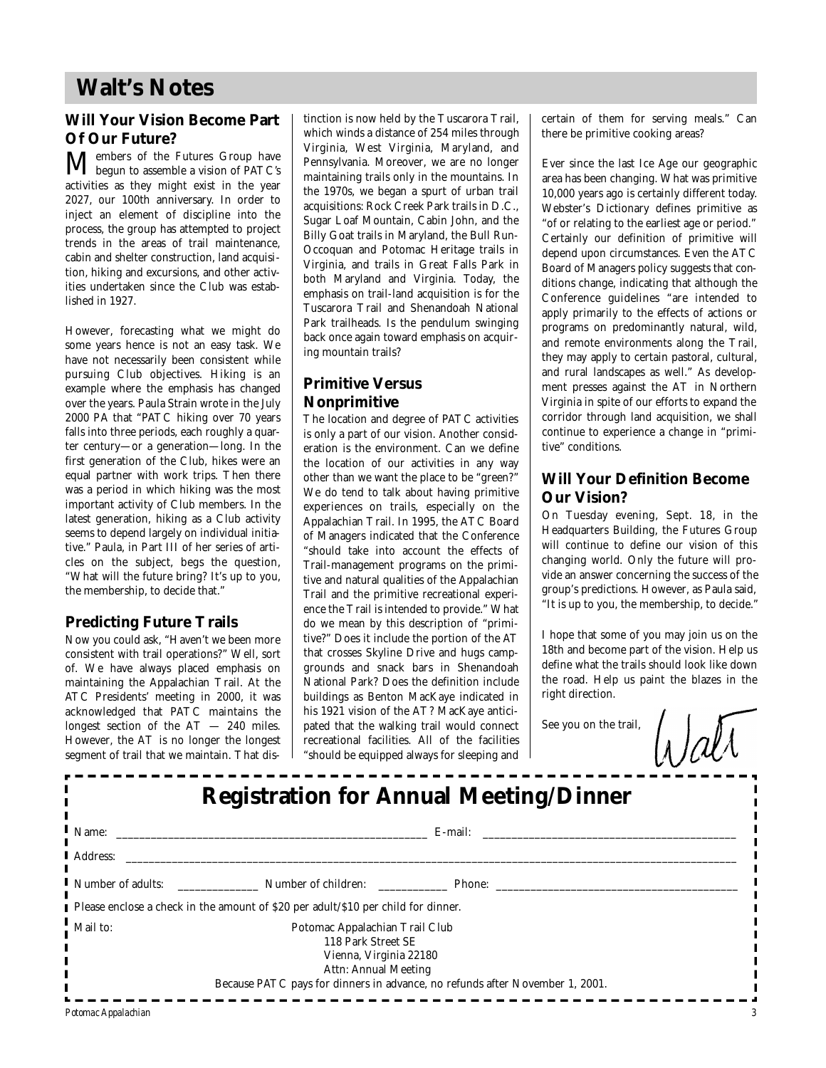## **Walt's Notes**

### **Will Your Vision Become Part Of Our Future?**

Members of the Futures Group have begun to assemble a vision of PATC's activities as they might exist in the year 2027, our 100th anniversary. In order to inject an element of discipline into the process, the group has attempted to project trends in the areas of trail maintenance, cabin and shelter construction, land acquisition, hiking and excursions, and other activities undertaken since the Club was established in 1927.

However, forecasting what we might do some years hence is not an easy task. We have not necessarily been consistent while pursuing Club objectives. Hiking is an example where the emphasis has changed over the years. Paula Strain wrote in the July 2000 PA that "PATC hiking over 70 years falls into three periods, each roughly a quarter century—or a generation—long. In the first generation of the Club, hikes were an equal partner with work trips. Then there was a period in which hiking was the most important activity of Club members. In the latest generation, hiking as a Club activity seems to depend largely on individual initiative." Paula, in Part III of her series of articles on the subject, begs the question, "What will the future bring? It's up to you, the membership, to decide that."

### **Predicting Future Trails**

Now you could ask, "Haven't we been more consistent with trail operations?" Well, sort of. We have always placed emphasis on maintaining the Appalachian Trail. At the ATC Presidents' meeting in 2000, it was acknowledged that PATC maintains the longest section of the AT — 240 miles. However, the AT is no longer the longest segment of trail that we maintain. That distinction is now held by the Tuscarora Trail, which winds a distance of 254 miles through Virginia, West Virginia, Maryland, and Pennsylvania. Moreover, we are no longer maintaining trails only in the mountains. In the 1970s, we began a spurt of urban trail acquisitions: Rock Creek Park trails in D.C., Sugar Loaf Mountain, Cabin John, and the Billy Goat trails in Maryland, the Bull Run-Occoquan and Potomac Heritage trails in Virginia, and trails in Great Falls Park in both Maryland and Virginia. Today, the emphasis on trail-land acquisition is for the Tuscarora Trail and Shenandoah National Park trailheads. Is the pendulum swinging back once again toward emphasis on acquiring mountain trails?

### **Primitive Versus Nonprimitive**

The location and degree of PATC activities is only a part of our vision. Another consideration is the environment. Can we define the location of our activities in any way other than we want the place to be "green?" We do tend to talk about having primitive experiences on trails, especially on the Appalachian Trail. In 1995, the ATC Board of Managers indicated that the Conference "should take into account the effects of Trail-management programs on the primitive and natural qualities of the Appalachian Trail and the primitive recreational experience the Trail is intended to provide." What do we mean by this description of "primitive?" Does it include the portion of the AT that crosses Skyline Drive and hugs campgrounds and snack bars in Shenandoah National Park? Does the definition include buildings as Benton MacKaye indicated in his 1921 vision of the AT? MacKaye anticipated that the walking trail would connect recreational facilities. All of the facilities "should be equipped always for sleeping and certain of them for serving meals." Can there be primitive cooking areas?

Ever since the last Ice Age our geographic area has been changing. What was primitive 10,000 years ago is certainly different today. Webster's Dictionary defines primitive as "of or relating to the earliest age or period." Certainly our definition of primitive will depend upon circumstances. Even the ATC Board of Managers policy suggests that conditions change, indicating that although the Conference guidelines "are intended to apply primarily to the effects of actions or programs on predominantly natural, wild, and remote environments along the Trail, they may apply to certain pastoral, cultural, and rural landscapes as well." As development presses against the AT in Northern Virginia in spite of our efforts to expand the corridor through land acquisition, we shall continue to experience a change in "primitive" conditions.

### **Will Your Definition Become Our Vision?**

On Tuesday evening, Sept. 18, in the Headquarters Building, the Futures Group will continue to define our vision of this changing world. Only the future will provide an answer concerning the success of the group's predictions. However, as Paula said, "It is up to you, the membership, to decide."

I hope that some of you may join us on the 18th and become part of the vision. Help us define what the trails should look like down the road. Help us paint the blazes in the right direction.

See you on the trail,

Watt

| <b>Registration for Annual Meeting/Dinner</b>                                     |                                                                                                                                                                                               |  |  |  |  |  |
|-----------------------------------------------------------------------------------|-----------------------------------------------------------------------------------------------------------------------------------------------------------------------------------------------|--|--|--|--|--|
| Name: $\qquad$                                                                    | E-mail:                                                                                                                                                                                       |  |  |  |  |  |
| Address:                                                                          |                                                                                                                                                                                               |  |  |  |  |  |
|                                                                                   | Number of adults: Number of children: Phone:                                                                                                                                                  |  |  |  |  |  |
| Please enclose a check in the amount of \$20 per adult/\$10 per child for dinner. |                                                                                                                                                                                               |  |  |  |  |  |
| Mail to:                                                                          | Potomac Appalachian Trail Club<br>118 Park Street SE<br>Vienna, Virginia 22180<br><b>Attn: Annual Meeting</b><br>Because PATC pays for dinners in advance, no refunds after November 1, 2001. |  |  |  |  |  |
| Potomac Appalachian                                                               |                                                                                                                                                                                               |  |  |  |  |  |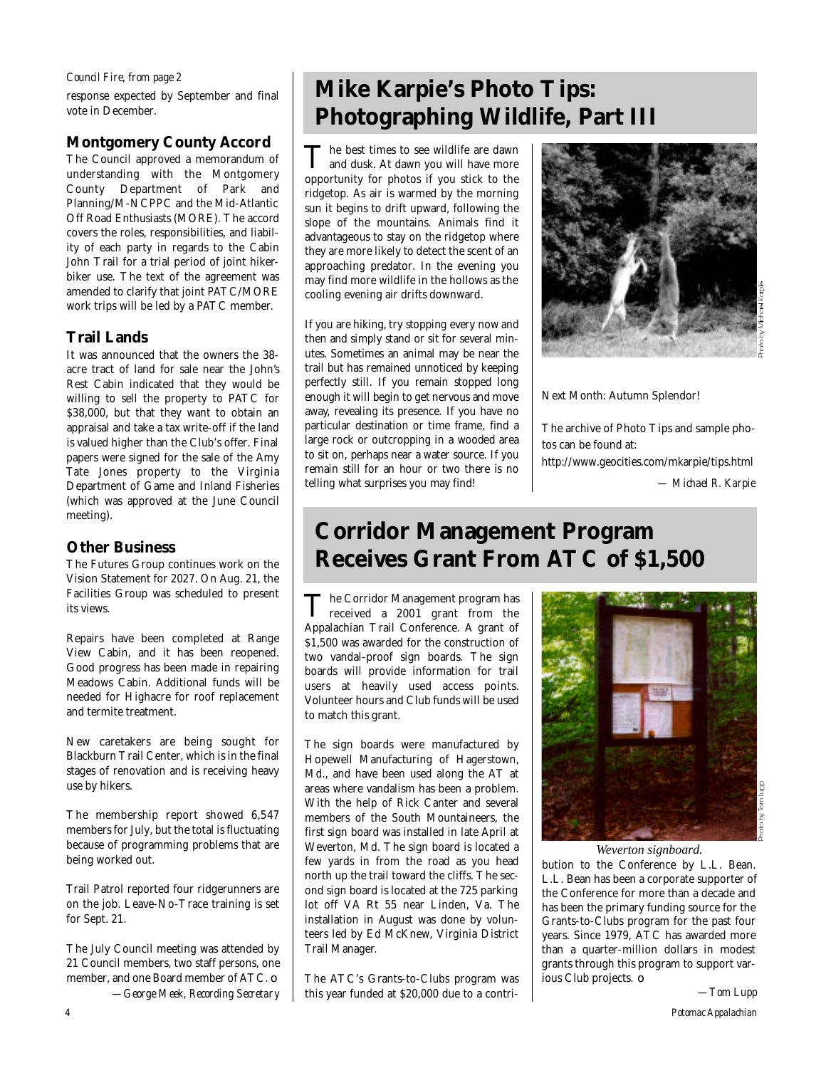#### *Council Fire, from page 2*

response expected by September and final vote in December.

### **Montgomery County Accord**

The Council approved a memorandum of understanding with the Montgomery County Department of Park and Planning/M-NCPPC and the Mid-Atlantic Off Road Enthusiasts (MORE). The accord covers the roles, responsibilities, and liability of each party in regards to the Cabin John Trail for a trial period of joint hikerbiker use. The text of the agreement was amended to clarify that joint PATC/MORE work trips will be led by a PATC member.

### **Trail Lands**

It was announced that the owners the 38 acre tract of land for sale near the John's Rest Cabin indicated that they would be willing to sell the property to PATC for \$38,000, but that they want to obtain an appraisal and take a tax write-off if the land is valued higher than the Club's offer. Final papers were signed for the sale of the Amy Tate Jones property to the Virginia Department of Game and Inland Fisheries (which was approved at the June Council meeting).

### **Other Business**

The Futures Group continues work on the Vision Statement for 2027. On Aug. 21, the Facilities Group was scheduled to present its views.

Repairs have been completed at Range View Cabin, and it has been reopened. Good progress has been made in repairing Meadows Cabin. Additional funds will be needed for Highacre for roof replacement and termite treatment.

New caretakers are being sought for Blackburn Trail Center, which is in the final stages of renovation and is receiving heavy use by hikers.

The membership report showed  $6,547$ members for July, but the total is fluctuating because of programming problems that are being worked out.

Trail Patrol reported four ridgerunners are on the job. Leave-No-Trace training is set for Sept. 21.

The July Council meeting was attended by 21 Council members, two staff persons, one member, and one Board member of ATC. ❏ *—George Meek, Recording Secretary*

# **Mike Karpie's Photo Tips: Photographing Wildlife, Part III**

The best times to see wildlife are dawn<br>and dusk. At dawn you will have more he best times to see wildlife are dawn opportunity for photos if you stick to the ridgetop. As air is warmed by the morning sun it begins to drift upward, following the slope of the mountains. Animals find it advantageous to stay on the ridgetop where they are more likely to detect the scent of an approaching predator. In the evening you may find more wildlife in the hollows as the cooling evening air drifts downward.

If you are hiking, try stopping every now and then and simply stand or sit for several minutes. Sometimes an animal may be near the trail but has remained unnoticed by keeping perfectly still. If you remain stopped long enough it will begin to get nervous and move away, revealing its presence. If you have no particular destination or time frame, find a large rock or outcropping in a wooded area to sit on, perhaps near a water source. If you remain still for an hour or two there is no telling what surprises you may find!



Next Month: Autumn Splendor!

The archive of Photo Tips and sample photos can be found at:

http://www.geocities.com/mkarpie/tips.html

*— Michael R. Karpie*

# **Corridor Management Program Receives Grant From ATC of \$1,500**

The Corridor Management program has<br>received a 2001 grant from the he Corridor Management program has Appalachian Trail Conference. A grant of \$1,500 was awarded for the construction of two vandal-proof sign boards. The sign boards will provide information for trail users at heavily used access points. Volunteer hours and Club funds will be used to match this grant.

The sign boards were manufactured by Hopewell Manufacturing of Hagerstown, Md., and have been used along the AT at areas where vandalism has been a problem. With the help of Rick Canter and several members of the South Mountaineers, the first sign board was installed in late April at Weverton, Md. The sign board is located a few yards in from the road as you head north up the trail toward the cliffs. The second sign board is located at the 725 parking lot off VA Rt 55 near Linden, Va. The installation in August was done by volunteers led by Ed McKnew, Virginia District Trail Manager.

The ATC's Grants-to-Clubs program was this year funded at \$20,000 due to a contri-



#### *Weverton signboard.*

bution to the Conference by L.L. Bean. L.L. Bean has been a corporate supporter of the Conference for more than a decade and has been the primary funding source for the Grants-to-Clubs program for the past four years. Since 1979, ATC has awarded more than a quarter-million dollars in modest grants through this program to support various Club projects. ❏

*—Tom Lupp*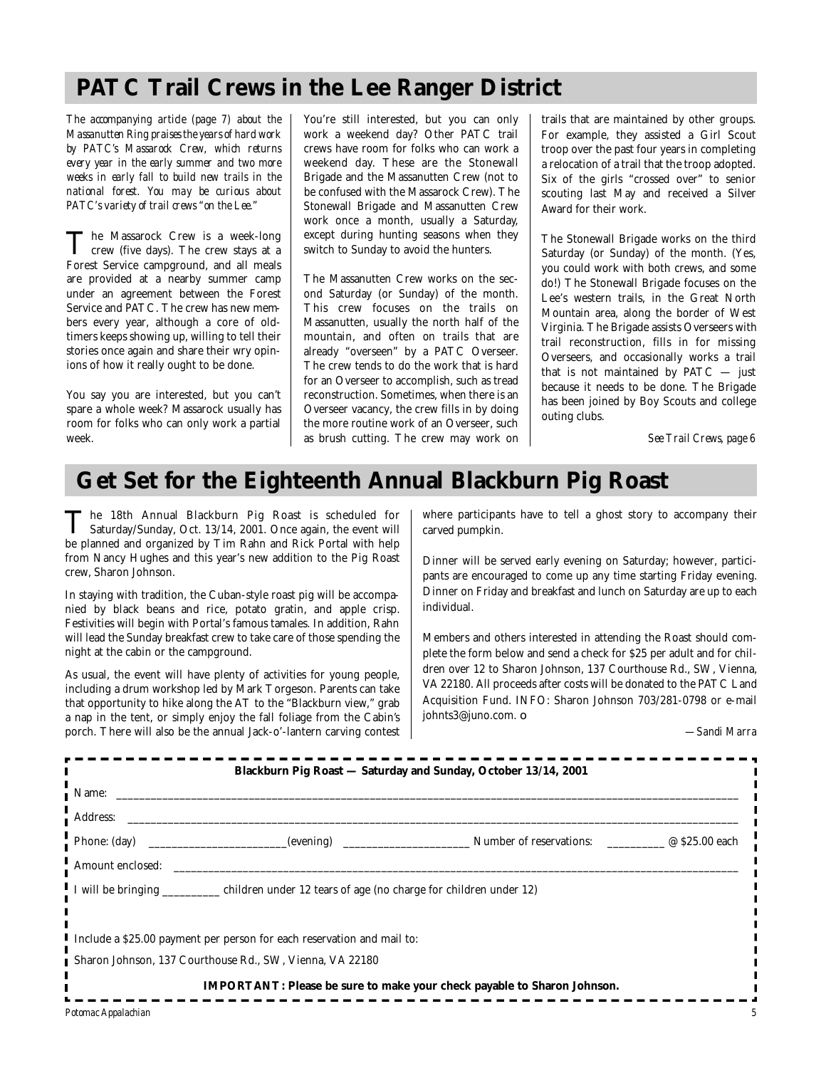## **PATC Trail Crews in the Lee Ranger District**

*The accompanying article (page 7) about the Massanutten Ring praises the years of hard work* by PATC's Massarock Crew, which returns *every year in the early summer and two more weeks in early fall to build new trails in the national forest. You may be curious about PATC's variety of trail crews "on the Lee."*

The Massarock Crew is a week-long<br>crew (five days). The crew stays at a The Massarock Crew is a week-long Forest Service campground, and all meals are provided at a nearby summer camp under an agreement between the Forest Service and PATC. The crew has new members every year, although a core of oldtimers keeps showing up, willing to tell their stories once again and share their wry opinions of how it really ought to be done.

You say you are interested, but you can't spare a whole week? Massarock usually has room for folks who can only work a partial week.

You're still interested, but you can only work a weekend day? Other PATC trail crews have room for folks who can work a weekend day. These are the Stonewall Brigade and the Massanutten Crew (not to be confused with the Massarock Crew). The Stonewall Brigade and Massanutten Crew work once a month, usually a Saturday, except during hunting seasons when they switch to Sunday to avoid the hunters.

The Massanutten Crew works on the second Saturday (or Sunday) of the month. This crew focuses on the trails on Massanutten, usually the north half of the mountain, and often on trails that are already "overseen" by a PATC Overseer. The crew tends to do the work that is hard for an Overseer to accomplish, such as tread reconstruction. Sometimes, when there is an Overseer vacancy, the crew fills in by doing the more routine work of an Overseer, such as brush cutting. The crew may work on

trails that are maintained by other groups. For example, they assisted a Girl Scout troop over the past four years in completing a relocation of a trail that the troop adopted. Six of the girls "crossed over" to senior scouting last May and received a Silver Award for their work.

The Stonewall Brigade works on the third Saturday (or Sunday) of the month. (Yes, you could work with both crews, and some do!) The Stonewall Brigade focuses on the Lee's western trails, in the Great North Mountain area, along the border of West Virginia. The Brigade assists Overseers with trail reconstruction, fills in for missing Overseers, and occasionally works a trail that is not maintained by  $PATC - just$ because it needs to be done. The Brigade has been joined by Boy Scouts and college outing clubs.

*See Trail Crews, page 6*

# **Get Set for the Eighteenth Annual Blackburn Pig Roast**

The 18th Annual Blackburn Pig Roast is scheduled for<br>Saturday/Sunday, Oct. 13/14, 2001. Once again, the event will The 18th Annual Blackburn Pig Roast is scheduled for be planned and organized by Tim Rahn and Rick Portal with help from Nancy Hughes and this year's new addition to the Pig Roast crew, Sharon Johnson.

In staying with tradition, the Cuban-style roast pig will be accompanied by black beans and rice, potato gratin, and apple crisp. Festivities will begin with Portal's famous tamales. In addition, Rahn will lead the Sunday breakfast crew to take care of those spending the night at the cabin or the campground.

As usual, the event will have plenty of activities for young people, including a drum workshop led by Mark Torgeson. Parents can take that opportunity to hike along the AT to the "Blackburn view," grab a nap in the tent, or simply enjoy the fall foliage from the Cabin's porch. There will also be the annual Jack-o'-lantern carving contest where participants have to tell a ghost story to accompany their carved pumpkin.

Dinner will be served early evening on Saturday; however, participants are encouraged to come up any time starting Friday evening. Dinner on Friday and breakfast and lunch on Saturday are up to each individual.

Members and others interested in attending the Roast should complete the form below and send a check for \$25 per adult and for children over 12 to Sharon Johnson, 137 Courthouse Rd., SW, Vienna, VA 22180. All proceeds after costs will be donated to the PATC Land Acquisition Fund. INFO: Sharon Johnson 703/281-0798 or e-mail johnts3@juno.com. ❏

*—Sandi Marra*

| Name:            |                                                                                                 |                                                                         |  |
|------------------|-------------------------------------------------------------------------------------------------|-------------------------------------------------------------------------|--|
| <b>Address:</b>  |                                                                                                 |                                                                         |  |
|                  |                                                                                                 |                                                                         |  |
| Amount enclosed: |                                                                                                 |                                                                         |  |
|                  | I will be bringing ___________ children under 12 tears of age (no charge for children under 12) |                                                                         |  |
|                  |                                                                                                 |                                                                         |  |
|                  | I Include a \$25.00 payment per person for each reservation and mail to:                        |                                                                         |  |
|                  | Sharon Johnson, 137 Courthouse Rd., SW, Vienna, VA 22180                                        |                                                                         |  |
|                  |                                                                                                 | IMPORTANT: Please be sure to make your check payable to Sharon Johnson. |  |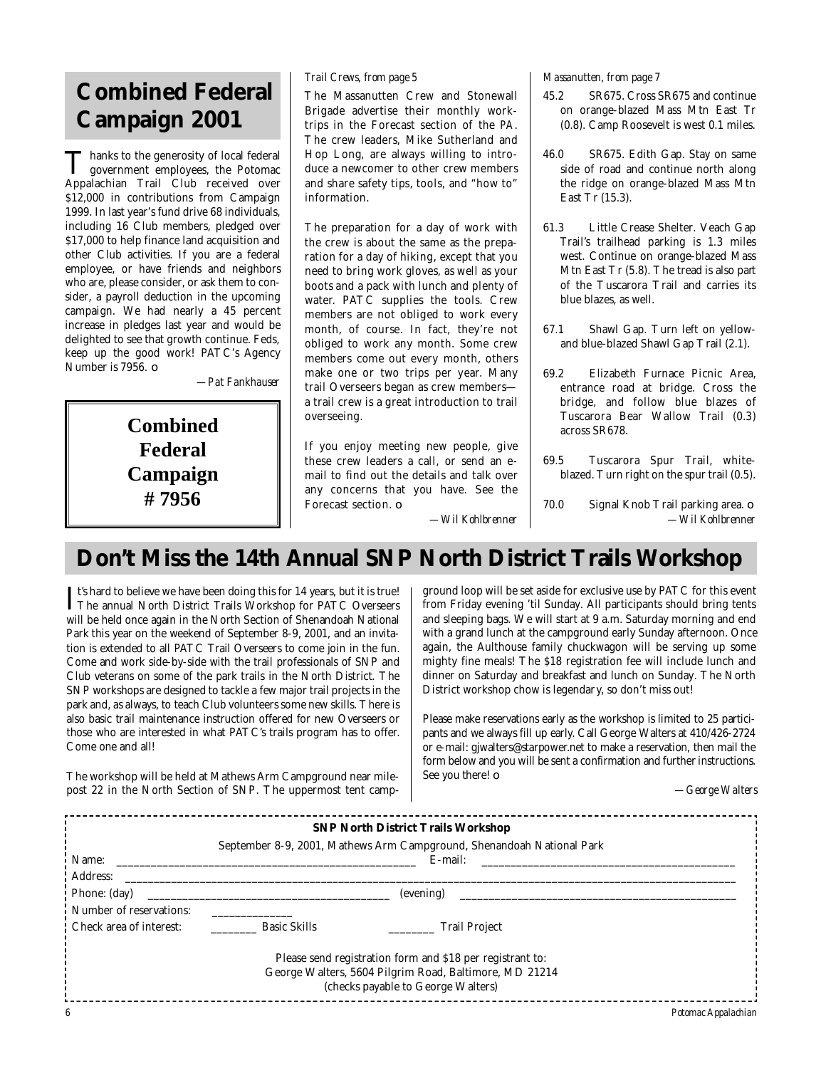# **Combined Federal Campaign 2001**

Thanks to the generosity of local federal<br>government employees, the Potomac Thanks to the generosity of local federal Appalachian Trail Club received over \$12,000 in contributions from Campaign 1999. In last year's fund drive 68 individuals, including 16 Club members, pledged over \$17,000 to help finance land acquisition and other Club activities. If you are a federal employee, or have friends and neighbors who are, please consider, or ask them to consider, a payroll deduction in the upcoming campaign. We had nearly a 45 percent increase in pledges last year and would be delighted to see that growth continue. Feds, keep up the good work! PATC's Agency Number is 7956. ❏

*—Pat Fankhauser*

**Combined Federal Campaign # 7956**

The Massanutten Crew and Stonewall Brigade advertise their monthly worktrips in the Forecast section of the *PA*. The crew leaders, Mike Sutherland and Hop Long, are always willing to introduce a newcomer to other crew members and share safety tips, tools, and "how to" information.

The preparation for a day of work with the crew is about the same as the preparation for a day of hiking, except that you need to bring work gloves, as well as your boots and a pack with lunch and plenty of water. PATC supplies the tools. Crew members are not obliged to work every month, of course. In fact, they're not obliged to work any month. Some crew members come out every month, others make one or two trips per year. Many trail Overseers began as crew members a trail crew is a great introduction to trail overseeing.

If you enjoy meeting new people, give these crew leaders a call, or send an email to find out the details and talk over any concerns that you have. See the Forecast section.  $\Box$ 

*Trail Crews, from page 5 Massanutten, from page 7*

- 45.2 SR675. Cross SR675 and continue on orange-blazed Mass Mtn East Tr (0.8). Camp Roosevelt is west 0.1 miles.
- 46.0 SR675. Edith Gap. Stay on same side of road and continue north along the ridge on orange-blazed Mass Mtn East Tr (15.3).
- 61.3 Little Crease Shelter. Veach Gap Trail's trailhead parking is 1.3 miles west. Continue on orange-blazed Mass Mtn East Tr (5.8). The tread is also part of the Tuscarora Trail and carries its blue blazes, as well.
- 67.1 Shawl Gap. Turn left on yellowand blue-blazed Shawl Gap Trail (2.1).
- 69.2 Elizabeth Furnace Picnic Area, entrance road at bridge. Cross the bridge, and follow blue blazes of Tuscarora Bear Wallow Trail (0.3) across SR678.
- 69.5 Tuscarora Spur Trail, whiteblazed. Turn right on the spur trail (0.5).
- 70.0 Signal Knob Trail parking area. ❏ *—Wil Kohlbrenner*

# **Don't Miss the 14th Annual SNP North District Trails Workshop**

*—Wil Kohlbrenner*

It's hard to believe we have been doing this for 14 years, but it is true!<br>The annual North District Trails Workshop for PATC Overseers The annual North District Trails Workshop for PATC Overseers will be held once again in the North Section of Shenandoah National Park this year on the weekend of September 8-9, 2001, and an invitation is extended to all PATC Trail Overseers to come join in the fun. Come and work side-by-side with the trail professionals of SNP and Club veterans on some of the park trails in the North District. The SNP workshops are designed to tackle a few major trail projects in the park and, as always, to teach Club volunteers some new skills. There is also basic trail maintenance instruction offered for new Overseers or those who are interested in what PATC's trails program has to offer. Come one and all!

The workshop will be held at Mathews Arm Campground near milepost 22 in the North Section of SNP. The uppermost tent camp-

ground loop will be set aside for exclusive use by PATC for this event from Friday evening 'til Sunday. All participants should bring tents and sleeping bags. We will start at 9 a.m. Saturday morning and end with a grand lunch at the campground early Sunday afternoon. Once again, the Aulthouse family chuckwagon will be serving up some mighty fine meals! The \$18 registration fee will include lunch and dinner on Saturday and breakfast and lunch on Sunday. The North District workshop chow is legendary, so don't miss out!

Please make reservations early as the workshop is limited to 25 participants and we always fill up early. Call George Walters at 410/426-2724 or e-mail: gjwalters@starpower.net to make a reservation, then mail the form below and you will be sent a confirmation and further instructions. See you there! ❏

*—George Walters*

| <b>SNP North District Trails Workshop</b>                 |                                                                       |                                                        |                     |  |  |  |
|-----------------------------------------------------------|-----------------------------------------------------------------------|--------------------------------------------------------|---------------------|--|--|--|
|                                                           | September 8-9, 2001, Mathews Arm Campground, Shenandoah National Park |                                                        |                     |  |  |  |
| Name:                                                     |                                                                       | E-mail:                                                |                     |  |  |  |
| Address:                                                  |                                                                       |                                                        |                     |  |  |  |
| Phone: (day)                                              | (evening)                                                             |                                                        |                     |  |  |  |
| Number of reservations:                                   |                                                                       |                                                        |                     |  |  |  |
| Check area of interest:                                   | <b>Basic Skills</b>                                                   | <b>Trail Project</b>                                   |                     |  |  |  |
|                                                           |                                                                       |                                                        |                     |  |  |  |
| Please send registration form and \$18 per registrant to: |                                                                       |                                                        |                     |  |  |  |
|                                                           |                                                                       | George Walters, 5604 Pilgrim Road, Baltimore, MD 21214 |                     |  |  |  |
|                                                           |                                                                       | (checks payable to George Walters)                     |                     |  |  |  |
| 6                                                         |                                                                       |                                                        | Potomac Appalachian |  |  |  |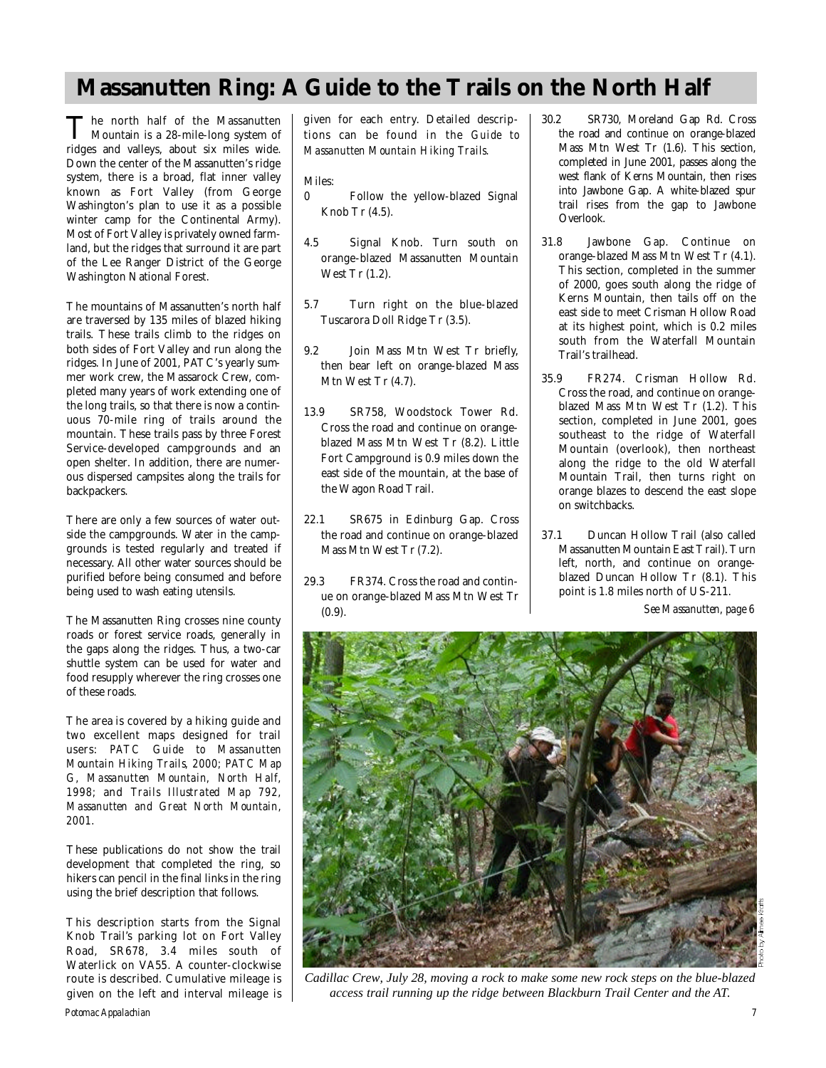# **Massanutten Ring: A Guide to the Trails on the North Half**

The north half of the Massanutten<br>Mountain is a 28-mile-long system of Mountain is a 28-mile-long system of ridges and valleys, about six miles wide. Down the center of the Massanutten's ridge system, there is a broad, flat inner valley known as Fort Valley (from George Washington's plan to use it as a possible winter camp for the Continental Army). Most of Fort Valley is privately owned farmland, but the ridges that surround it are part of the Lee Ranger District of the George Washington National Forest.

The mountains of Massanutten's north half are traversed by 135 miles of blazed hiking trails. These trails climb to the ridges on both sides of Fort Valley and run along the ridges. In June of 2001, PATC's yearly summer work crew, the Massarock Crew, completed many years of work extending one of the long trails, so that there is now a continuous 70-mile ring of trails around the mountain. These trails pass by three Forest Service-developed campgrounds and an open shelter. In addition, there are numerous dispersed campsites along the trails for backpackers.

There are only a few sources of water outside the campgrounds. Water in the campgrounds is tested regularly and treated if necessary. All other water sources should be purified before being consumed and before being used to wash eating utensils.

The Massanutten Ring crosses nine county roads or forest service roads, generally in the gaps along the ridges. Thus, a two-car shuttle system can be used for water and food resupply wherever the ring crosses one of these roads.

The area is covered by a hiking guide and two excellent maps designed for trail users: *PATC Guide to Massanutten Mountain Hiking Trails, 2000; PATC Map G, Massanutten Mountain, North Half, 1998;* and *Trails Illustrated Map 792, Massanutten and Great North Mountain, 2 0 0 1 .*

These publications do not show the trail development that completed the ring, so hikers can pencil in the final links in the ring using the brief description that follows.

This description starts from the Signal Knob Trail's parking lot on Fort Valley Road, SR678, 3.4 miles south of Waterlick on VA55. A counter-clockwise route is described. Cumulative mileage is given on the left and interval mileage is given for each entry. Detailed descriptions can be found in the *Guide to Massanutten Mountain Hiking Trails.* 

Miles:

- 0 Follow the yellow-blazed Signal Knob Tr (4.5).
- 4.5 Signal Knob. Turn south on orange-blazed Massanutten Mountain West Tr (1.2).
- 5.7 Turn right on the blue-blazed Tuscarora Doll Ridge Tr (3.5).
- 9.2 Join Mass Mtn West Tr briefly, then bear left on orange-blazed Mass Mtn West Tr (4.7).
- 13.9 SR758, Woodstock Tower Rd. Cross the road and continue on orangeblazed Mass Mtn West Tr (8.2). Little Fort Campground is 0.9 miles down the east side of the mountain, at the base of the Wagon Road Trail.
- 22.1 SR675 in Edinburg Gap. Cross the road and continue on orange-blazed Mass Mtn West Tr (7.2).
- 29.3 FR374. Cross the road and continue on orange-blazed Mass Mtn West Tr (0.9).
- 30.2 SR730, Moreland Gap Rd. Cross the road and continue on orange-blazed Mass Mtn West Tr (1.6). This section, completed in June 2001, passes along the west flank of Kerns Mountain, then rises into Jawbone Gap. A white-blazed spur trail rises from the gap to Jawbone Overlook.
- 31.8 Jawbone Gap. Continue on orange-blazed Mass Mtn West Tr (4.1). This section, completed in the summer of 2000, goes south along the ridge of Kerns Mountain, then tails off on the east side to meet Crisman Hollow Road at its highest point, which is 0.2 miles south from the Waterfall Mountain Trail's trailhead.
- 35.9 FR274. Crisman Hollow Rd. Cross the road, and continue on orangeblazed Mass Mtn West Tr (1.2). This section, completed in June 2001, goes southeast to the ridge of Waterfall Mountain (overlook), then northeast along the ridge to the old Waterfall Mountain Trail, then turns right on orange blazes to descend the east slope on switchbacks.
- 37.1 Duncan Hollow Trail (also called Massanutten Mountain East Trail). Turn left, north, and continue on orangeblazed Duncan Hollow Tr (8.1). This point is 1.8 miles north of US-211.

*See Massanutten, page 6*



*Cadillac Crew, July 28, moving a rock to make some new rock steps on the blue-blazed access trail running up the ridge between Blackburn Trail Center and the AT.*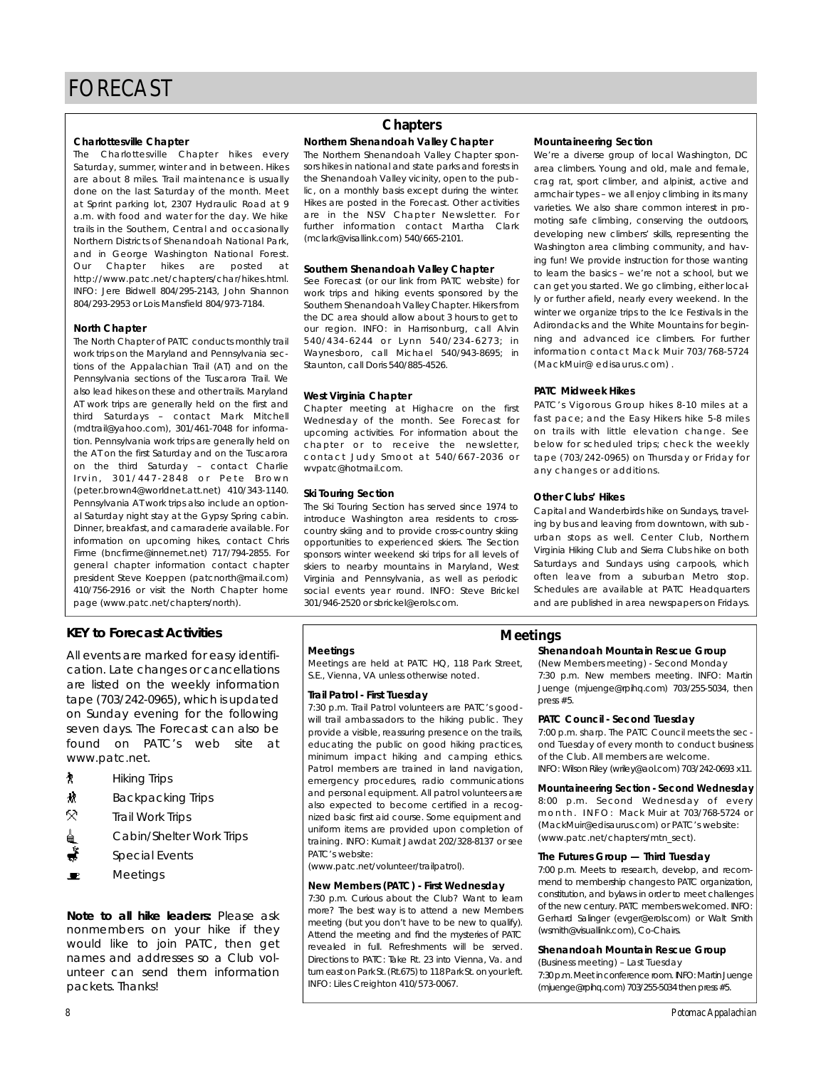**Charlottesville Chapter**<br>The Charlottesville Chapter hikes every Saturday, summer, winter and in between. Hikes are about 8 miles. Trail maintenance is usually done on the last Saturday of the month. Meet at Sprint parking lot, 2307 Hydraulic Road at 9 a.m. with food and water for the day. We hike trails in the Southern, Central and occasionally Northern Districts of Shenandoah National Park. and in George Washington National Forest. Our Chapter hikes are posted at http://www.patc.net/chapters/char/hikes.html. INFO: Jere Bidwell 804/295-2143, John Shannon 804/293-2953 or Lois Mansfield 804/973-7184.  $804$   $1275$   $2765$  or Lois Manshold 804/973-7184.

**North Chapter**<br>The North Chapter of PATC conducts monthly trail work trips on the Maryland and Pennsylvania sections of the Appalachian Trail (AT) and on the Pennsylvania sections of the Tuscarora Trail. We also lead hikes on these and other trails. Maryland AT work trips are generally held on the first and third Saturdays - contact Mark Mitchell (mdtrail@yahoo.com), 301/461-7048 for information. Pennsylvania work trips are generally held on the AT on the first Saturday and on the Tuscarora on the third Saturday - contact Charlie Irvin, 301/447-2848 or Pete Brown (peter.brown4@worldnet.att.net) 410/343-1140. Pennsylvania AT work trips also include an optional Saturday night stay at the Gypsy Spring cabin. Dinner, breakfast, and camaraderie available. For information on upcoming hikes, contact Chris Firme (bncfirme@innernet.net) 717/794-2855. For general chapter information contact chapter president Steve Koeppen (patcnorth@mail.com) 410/756-2916 or visit the North Chapter home 410/756-2916 or visit the North Chapter home page (www.patc.net/chapters/north).

**KEY to Forecast Activities** cation. Late changes or cancellations are listed on the weekly information  $t$ ape (703/242-0965), which is updated on Sunday evening for the following seven days. The Forecast can also be found on PATC's web site at found on PATC's web site at www.patc.net.

- 
- Hiking Trips<br>Backpacking Trips М
- Backpacking Trips 5S)
- Trail Work Trips Cabin/Shelter Work Trips
- Special Events
- $\blacksquare$ Meetings

*Note to all hike leaders: Please ask* nonmembers on your hike if they would like to join PATC, then get names and addresses so a Club volunteer can send them information unteer can send them information packets. Thanks!

### **Chapters**

## **Northern Shenandoah Valley Chapter**

sors hikes in national and state parks and forests in the Shenandoah Valley vicinity, open to the public, on a monthly basis except during the winter. Hikes are posted in the Forecast. Other activities are in the NSV Chapter Newsletter. For further information contact Martha Clark further information contact Martha Clark  $($ molark $\sigma$  wisallink.com $\eta$  540/666-2101.

## **Southern Shenandoah Valley Chapter**<br>See Forecast (or our link from PATC website) for

work trips and hiking events sponsored by the Southern Shenandoah Valley Chapter. Hikers from the DC area should allow about 3 hours to get to our region. INFO: in Harrisonburg, call Alvin 540/434-6244 or Lynn 540/234-6273; in Waynesboro, call Michael  $540/943-8695$ ; in wa y noboto) call Michael 540/943-8693; in Staunton, call Dons 640/885-4526.

West Virginia Chapter<br>Chapter meeting at Highacre on the first Wednesday of the month. See Forecast for upcoming activities. For information about the chapter or to receive the newsletter, contact Judy Smoot at 540/667-2036 or con tact bady bindot at 540/667-2006 or www.patolohotmail.com.

**Ski Touring Section**<br>The Ski Touring Section has served since 1974 to introduce Washington area residents to crosscountry skiing and to provide cross-country skiing opportunities to experienced skiers. The Section sponsors winter weekend ski trips for all levels of skiers to nearby mountains in Maryland, West Virginia and Pennsylvania, as well as periodic social events year round. INFO: Steve Brickel social events year round. INFO: Steve Brickel

**Mountaineering Section**<br>We're a diverse group of local Washington, DC area climbers. Young and old, male and female, crag rat, sport climber, and alpinist, active and armchair types - we all enjoy climbing in its many varieties. We also share common interest in promoting safe climbing, conserving the outdoors, developing new climbers' skills, representing the Washington area climbing community, and having fun! We provide instruction for those wanting to learn the basics - we're not a school, but we can get you started. We go climbing, either locally or further afield, nearly every weekend. In the winter we organize trips to the Ice Festivals in the Adirondacks and the White Mountains for beginning and advanced ice climbers. For further information contact Mack Muir 703/768-5724 (Mack Muir @edisaurus com)  $(m_{\alpha}$  eminal  $\alpha$  called also complete  $(m_{\alpha}$ 

**PATC Midweek Hikes** fast pace; and the Easy Hikers hike 5-8 miles on trails with little elevation change. See below for scheduled trips; check the weekly below for scheduled trips; check the weekly  $t = \frac{1}{2}$ any changes or additions.

**Other Clubs' Hikes**<br>Capital and Wanderbirds hike on Sundays, traveling by bus and leaving from downtown, with suburban stops as well. Center Club, Northern Virginia Hiking Club and Sierra Clubs hike on both Saturdays and Sundays using carpools, which often leave from a suburban Metro stop. Schedules are available at PATC Headquarters Schedules are available at PATC Headquarters and are published in area newspapers on Fridays.

**Meetings**<br>Meetings are held at PATC HQ, 118 Park Street, Meetings are held at PATC HQ, 118 Park Street, S.E., Vienna, VA unless otherwise noted.

**Trail Patrol - First Tuesday** will trail ambassadors to the hiking public. They provide a visible, reassuring presence on the trails, educating the public on good hiking practices, minimum impact hiking and camping ethics. Patrol members are trained in land navigation, emergency procedures, radio communications and personal equipment. All patrol volunteers are also expected to become certified in a recognized basic first aid course. Some equipment and uniform items are provided upon completion of uniform items are provided upon completion of training. INFO: Kumait Jawdat 202/328-8137 or see patchers website:<br>Patchers website:

( www.patemetrical relation transactory.

## **New Members (PATC) - First Wednesday**

more? The best way is to attend a new Members meeting (but you don't have to be new to qualify). Attend the meeting and find the mysteries of PATC revealed in full. Refreshments will be served. Directions to PATC: Take Rt 23 into Vienna Va and turn east on Park St. (Rt.675) to 118 Park St. on your left. turn east on Parker, (Rt.676) to 118 Park St. Journal St. Info: Liles Creighton 410/573-0067.

#### **Meetings**

## **Shenandoah Mountain Rescue Group**<br>(New Members meeting) - Second Monday

7:30 p.m. New members meeting. INFO: Martin 7:30 p.m. New members meeting. INFO: Martin Juenge (mjuenge@rpihq.com) 703/255-5034, then press #5.

PATC Council - Second Tuesday<br>7:00 p.m. sharp. The PATC Council meets the second Tuesday of every month to conduct business of the Club. All members are welcome. of the Club. All members are welcome.  $\sum_{i=1}^{n}$  is constantly (who jet do not  $\sum_{i=1}^{n}$  )  $\sum_{i=1}^{n}$  0692 x11.1.

**Mountaineering Section - Second Wednesday**<br>8:00 p.m. Second Wednesday of every  $month$ . INFO: Mack Muir at 703/768-5724 or (MackMuir@edisaurus.com) or PATC's website: (Mackmail codisaurus.com) or PATC's Nobsite: (www.patc.net/chapters/mtn\_sect).

## **The Futures Group — Third Tuesday**<br>7:00 p.m. Meets to research, develop, and recom-

mend to membership changes to PATC organization, constitution, and bylaws in order to meet challenges of the new century. PATC members welcomed. INFO: Gerhard Salinger (evger@erols.com) or Walt Smith (wsmith@visuallink.com). Co-Chairs. (wsmith@visuallink.com), Co-Chairs.

## **Shenandoah Mountain Rescue Group**<br>(Business meeting) - Last Tuesday

7:30 p.m. Meet in conference room. INFO: Martin Juenge 7:30 p.m. moet in conference room. In conference room. (mjuenge@rpihq.com) 703/255-5034 then press #5.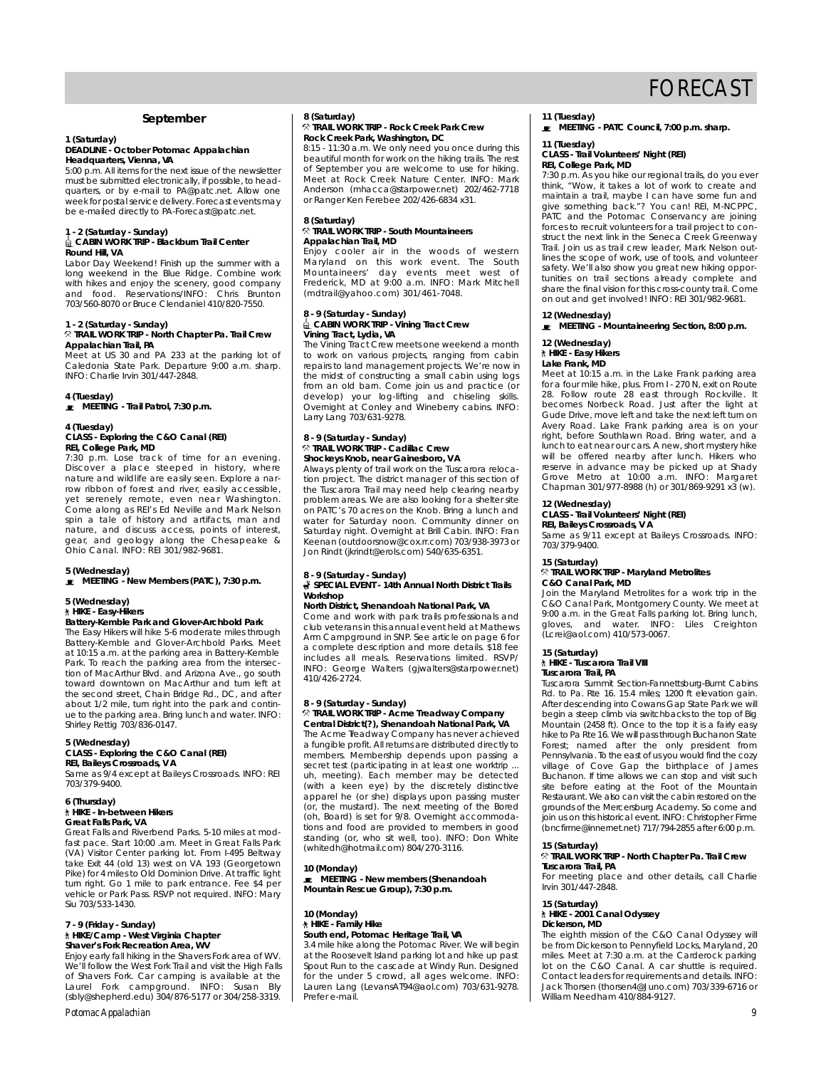## FORECAST

#### **September**

### **1 (Saturday) Headquarters**, Vienna, VA

5:00 p.m. All items for the next issue of the newsletter must be submitted electronically, if possible, to headquarters, or by e-mail to PA@patc.net. Allow one week for postal service delivery. Forecast events may week for postal service delivery. Forecast events may be e-mailed directly to PA-F orecast@patc.net.

# **1 - 2 (Saturday - Sunday) CABIN WORK TRIP - Blackburn Trail Center**

**Round Hill, VA**<br>Labor Day Weekend! Finish up the summer with a long weekend in the Blue Ridge. Combine work with hikes and enjoy the scenery, good company with hikes and enjoy the scenery, good company and food. Reservations/INFO: Chris Brunton 703/560-8070 or Bruce Clendaniel 410/820-7550.

## **1 - 2 (Saturday - Sunday) TRAIL WORK TRIP - North Chapter Pa. Trail Crew**

**Appalachian Trail, PA** Caledonia State Park. Departure 9:00 a.m. sharp. Caledonia State Park. Departure 9:00 a.m. sharp. INFO: Charlie Irvin 301/447-2848.

**4 (Tuesday) MEETING - Trail Patrol, 7:30 p.m.**

### **4 (Tuesday) REI, College Park, MD**

7:30 p.m. Lose track of time for an evening. Discover a place steeped in history, where nature and wildlife are easily seen. Explore a narn a turn of the are easily seem. Explore a nar-<br>row ribbon of forest and river, easily accessible, Come along as REI's Ed Neville and Mark Nelson spin a tale of history and artifacts, man and nature, and discuss access, points of interest, nature, and discuss access, points of interest,<br>gear, and geology along the Chesapeake &<br>Ohio Canal. INFO: REI 301/982-9681.

### **5 (Wednesday) MEETING - New Members (PATC), 7:30 p.m.**

## **5 (Wednesday)**

#### **Battery-Kemble Park and Glover-Archbold Park**

The Easy Hikers will hike 5-6 moderate miles through Battery-Kemble and Glover-Archbold Parks. Meet at 10:15 a.m. at the parking area in Battery-Kemble Park. To reach the parking area from the intersection of MacArthur Blvd. and Arizona Ave., go south toward downtown on MacArthur and turn left at the second street, Chain Bridge Rd., DC, and after about 1/2 mile, turn right into the park and continue to the parking area. Bring lunch and water. INFO: ue to the parking area. Bring lunch and water. INFO: Shirley Rettig 703/836-0147.

# **5 (Wednesday)**

**CRASS - Exploring the Canal (REI)**<br> **REI, Baileys Crossroads, VA**<br>
Same as 9/4 except at Baileys Crossroads. INFO: REI<br>
702/270 0400

#### **6 (Thursday) Great Falls Park, VA**

Great Falls and Riverbend Parks. 5-10 miles at mod-

fast pace. Start 10:00 .am. Meet in Great Falls Park (VA) Visitor Center parking lot. From I-495 Beltway take Exit 44 (old 13) west on VA 193 (Georgetown Pike) for 4 miles to Old Dominion Drive. At traffic light turn right. Go 1 mile to park entrance. Fee \$4 per vehicle or Park Pass. RSVP not required. INFO: Mary vehicle or Park Pass. RSVP not required. INFO: Mary Siu 703/533-1430.

### **7 - 9 (Friday - Sunday) Shaver's Fork Recreation Area, WV**

**Shaver's Fork Recreation Area, WV** Enjoy early fall hiking in the Shavers Fork area of WV. We'll follow the West Fork Trail and visit the High Falls of Shavers Fork. Car camping is available at the L a u rel Fork campground. INFO: Susan Bly (sbly@shepherd.edu) 304/876-5177 or 304/258-3319.

#### *Potomac Appalachian 9*

### **8 (Saturday)<br><sup>⊗</sup> TRAIL WORK TRIP - Rock Creek Park Crew Rock Creek Park, Washington, DC**

8:15 - 11:30 a.m. We only need you once during this beautiful month for work on the hiking trails. The rest of September you are welcome to use for hiking. of September you are more that the top mining. Anderson (mhacca@starpower.net) 202/462-7718 Anderson (mhacca@starpower.net) 202/462-7718 or Ranger Ken Ferebee 202/426-6834 x31.

### **8 (Saturday) Appalachian Trail, MD**

Enjoy cooler air in the woods of western Maryland on this work event. The South maryland on this work events meet west of<br>Mountaineers' day events meet west of<br>Frederick MD at 0:00 a.m. INFO: Mark Mitchell  $(mdt$ rail@vahoo.com) 301/461-7048.  $($ manan $\sigma$ yahoo.com/ $\sigma$ 001/461-7048.

# **8 - 9 (Saturday - Sunday) CABIN WORK TRIP - Vining Tract Crew**

The Vining Tract Crew meets one weekend a month to work on various projects, ranging from cabin repairs to land management projects. We're now in the midst of constructing a small cabin using logs the midst of constructing a small cabin using logical cabin using the matched of construction and practice (or<br>doublen), your log lifting, and chipping skills develop) your log-lifting and chiseling skills. Overnight at Conley and Wineberry cabins. INFO: Larry Lang 703/631-9278.

### **8 - 9 (Saturday - Sunday) Shockeys Knob, near Gainesboro, VA**

Always plenty of trail work on the Tuscarora relocation project. The district manager of this section of the Tuscarora Trail may need help clearing nearby problem areas. We are also looking for a shelter site on PATC's 70 acres on the Knob. Bring a lunch and water for Saturday noon. Community dinner on water for Saturday noon. Community dinner on Keenan (outdoorsnow@cox.rr.com) 703/938-3973 or Keenan (outdoorsnow@cox.rr.com) 703/938-3973 or Jon Rindt (jkrindt@erols.com) 540/635-6351.

### **8 - 9 (Saturday - Sunday) SPECIAL EVENT - 14th Annual North District Trails** Workshop<br>North District, Shenandoah National Park, VA

Come and work with park trails professionals and club veterans in this annual event held at Mathews Arm Campground in SNP. See article on page 6 for a complete description and more details. \$18 fee includes all meals. Reservations limited. RSVP/ includes all meals. Reservations limited. Reserved.<br>INFO: George Walters (gjwalters@starpower.net)  $1107.120$   $E/L$   $\ldots$ 

### **8 - 9 (Saturday - Sunday) Central District(?)** Shenandoah National Park VA

The Acme Treadway Company has never achieved a fungible profit. All returns are distributed directly to members. Membership depends upon passing a secret test (participating in at least one worktrip .. uh, meeting). Each member may be detected (with a keen eye) by the discretely distinctive apparel he (or she) displays upon passing muster (or, the mustard). The next meeting of the Bored (oh, Board) is set for 9/8. Overnight accommoda-(oh, Board) is set for 9/8. Overnight accommoda-tions and food are provided to members in good standing (or, who sit well, too). INFO: Don White (whitedh@hotmail.com) 804/270-3116.

**10 (Monday)**<br>E MEETING - New members (Shenandoah **MEETING - New members (Shenandoah Mountain Rescue Group), 7:30 p.m.**

### **10 (Monday)** South end, Potomac Heritage Trail, VA

3.4 mile hike along the Potomac River. We will begin 3.4 mile Roosevelt Island parking lot and his will begin.<br>at the Roosevelt Island parking lot and hike up past for the under 5 crowd, all ages welcome. INFO: for the under 5 crowd, all ages welcome. INFO: Lauren Lang (LevansAT94@aol.com) 703/631-9278. Prefer e-mail.

**11 (Tuesday) MEETING - PATC Council, 7:00 p.m. sharp.**

### **11 (Tuesday) REI, College Park, MD**

7:30 p.m. As you hike our regional trails, do you ever think, "Wow, it takes a lot of work to create and maintain a trail, maybe I can have some fun and give something back."? You can! REI, M-NCPPC, PATC and the Potomac Conservancy are joining forces to recruit volunteers for a trail project to construct the next link in the Seneca Creek Greenway Trail, Join us as trail crew leader. Mark Nelson outlines the scope of work, use of tools, and volunteer safety. We'll also show you great new hiking opportunities on trail sections already complete and tunities on trail sections already complete and share the final vision for this cross-county trail. Come on out and get involved! INFO: REI 301/982-9681.

### **12 (Wednesday) MEETING - Mountaineering Section, 8:00 p.m.**

**12 (Wednesday)**

#### Lake Frank, MD

Meet at 10:15 a.m. in the Lake Frank parking area for a four mile hike, plus. From I - 270 N, exit on Route 28. Follow route 28 east through Rockville. It becomes Norbeck Road. Just after the light at Gude Drive, move left and take the next left turn on Avery Road. Lake Frank parking area is on your right, before Southlawn Road. Bring water, and a lunch to eat near our cars. A new, short mystery hike will be offered nearby after lunch. Hikers who will be official higher lunch in advance may be picked up at Shady<br>reserve in advance may be picked up at Shady<br>Crove Motro at 10:00 a.m. INFO: Margaret G rove Metro at 10:00 a.m. INFO: Marg a re t Chapman 301/977-8988 (h) or 301/869-9291 x3 (w).

## **12 (Wednesday)**

**CLASS - Trail Volunteers - Trail Volunteers**<br>**REI, Baileys Crossroads, V A**<br>Same as 9/11 except at Baileys Crossroads. INFO:<br>703/379 9400 703/379-9400.<br>15 (Saturday)

#### **X TRAIL WORK TRIP - Maryland Metrolites C&O Canal Park, MD**

Join the Maryland Metrolites for a work trip in the Join the Maryland Metrolites for a work trip in the G&O Canal Park, Montgomery County. We meet at<br>9:00 a.m. in the Great Falls parking lot. Bring lunch,<br>9.00 a.m. in the Great Falls parking lot. Bring lunch,  $\frac{1}{2}$  gives, and water. In  $\frac{1}{2}$  and  $\frac{1}{2}$  is  $\frac{1}{2}$  or  $\frac{1}{2}$  or  $\frac{1}{2}$  is  $\frac{1}{2}$ .

## **15 (Saturday)**

**Tuscarora Trail, PA Tuscarora Summit Section-Fannettsburg-Burnt Cabins** 

Rd. to Pa. Rte 16. 15.4 miles; 1200 ft elevation gain. After descending into Cowans Gap State Park we will begin a steep climb via switchbacks to the top of Big Mountain (2458 ft). Once to the top it is a fairly easy Mountain (2458 ft). Once to the top it is a fairly easy.<br>hike to Pa Rte 16. We will pass through Buchanon State<br>Ecrect: ... named.... offer... the ... only... precident... from Forest; named after the only president from village of Cove Gap the birthplace of James Buchanon. If time allows we can stop and visit such site before eating at the Foot of the Mountain Restaurant. We also can visit the cabin restored on the grounds of the Mercersburg Academy. So come and join us on this historical event. INFO: Christopher Firme join us on this historical event. INFO: Christopher Firm e ( b n c f i rm e @ i n n e rnet.net) 717/794-2855 after 6:00 p.m.

# **15 (Saturday)**

**TRAIL WORK TRIP - North Chapter Participal Trail Crew Trail, PA**<br>**For meeting place and other details, call Charlie**<br>Irvin 301/447-2848.

#### **15 (Saturday) Dickerson, MD**

The eighth mission of the C&O Canal Odyssey will be from Dickerson to Pennyfield Locks, Maryland, 20  $b^2$  be from Dickerson to Pennyfield Local Carderock parking<br>https. Meet at 7:30 a.m. at the Carderock parking Contact leaders for requirements and details. INFO: Jack Thorsen (thorsen4@Juno.com) 703/339-6716 or Jack Thorsen (thorsen4@Juno.com) 703/339-6716 or William Needham 410/884-9127.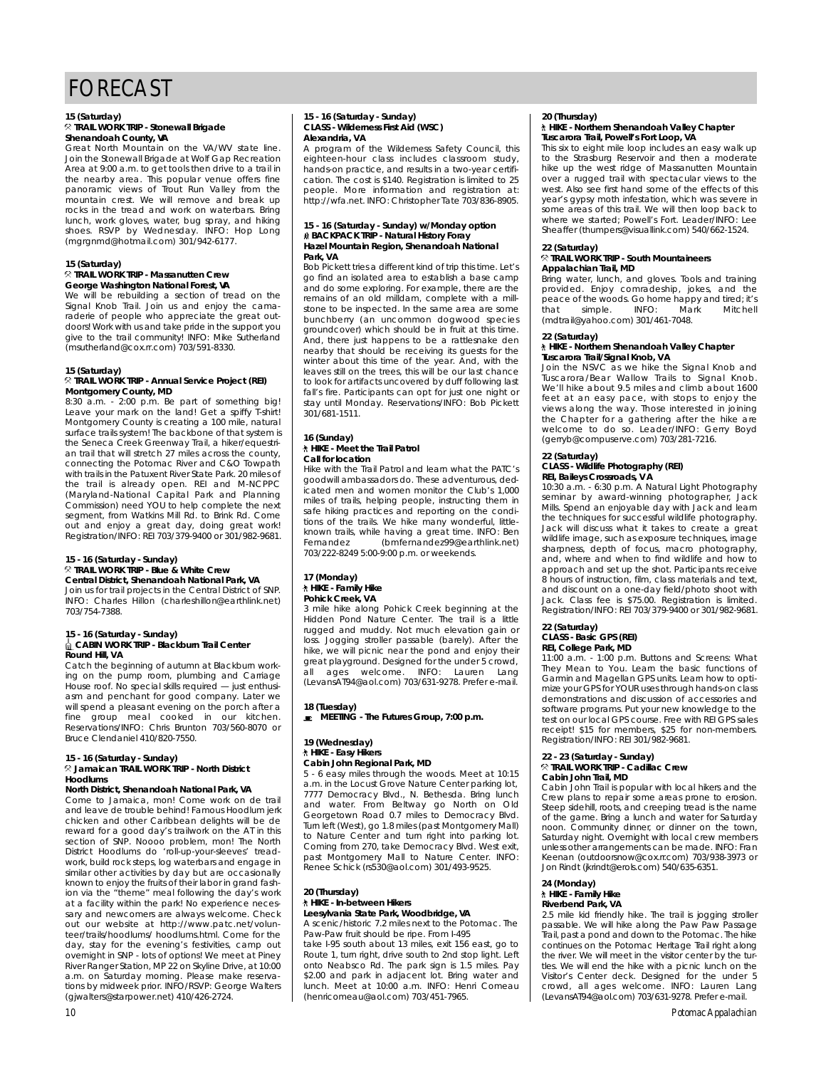## FORECAST

### **15 (Saturday) Shenandoah County, VA**

Great North Mountain on the VA/WV state line. Join the Stonewall Brigade at Wolf Gap Recreation Area at 9:00 a.m. to get tools then drive to a trail in the nearby area. This popular venue offers fine panoramic views of Trout Run Valley from the panoramic views of their run valley from the rocks in the tread and work on waterbars. Bring lunch, work gloves, water, bug spray, and hiking shoes. RSVP by Wednesday. INFO: Hop Long shoos. Rover by Wednesday. In Servey Long<br>(mgrgnmd@hotmail.com) 301/942-6177.

### **15 (Saturday) George Washington National Forest, VA**

We will be rebuilding a section of tread on the Signal Knob Trail. Join us and enjoy the camaraderie of people who appreciate the great outdoors! Work with us and take pride in the support you give to the trail community! INFO: Mike Sutherland give to the trail community. In the miller connection of the substantial computation of the substantial connection of the substantial connection of the substantial connection of the substantial connection of the substantia

### **15 (Saturday) Montgomery County, MD**

8:30 a.m. - 2:00 p.m. Be part of something big! Leave your mark on the land! Get a spiffy T-shirt! Montgomery County is creating a 100 mile, natural surface trails system! The backbone of that system is surface trails system. The backbone of that system is<br>the Seneca Creek Greenway Trail, a hiker/equestri-<br>an trail that will strotch 27 miles across the county connecting the Potomac River and C&O Towpath with trails in the Patuxent River State Park. 20 miles of with trail is already open. REI and M-NCPPC<br>the trail is already open. REI and M-NCPPC Commission) need YOU to help complete the next segment, from Watkins Mill Rd. to Brink Rd. Come segment, from Watkins Mill Rd. to Brink Rd. Come out and enjoy a great day, doing great work! Registration/INFO: REI 703/379-9400 or 301/982-9681.

## **15 - 16 (Saturday - Sunday)**

### **Central District, Shenandoah National Park, VA**

Join us for trail projects in the Central District of SNP. Join us for trail projects in the Central District of SNP. INFO: Charles Hillon (charleshillon@earthlink.net) 703/754-7388.

# **15 - 16 (Saturday - Sunday) CABIN WORK TRIP - Blackburn Trail Center**

**Round Hill, VA**<br>Catch the beginning of autumn at Blackburn working on the pump room, plumbing and Carriage House roof. No special skills required  $-$  just enthusiasm and penchant for good company. Later we asm and penchant for good company. Later we<br>will spend a pleasant evening on the porch after a<br>fine around moal cooked in our kitchen meal computer control control in the discussions.<br>Reservations/INFO: Chris Brunton 703/560-8070 or<br>Bruce Clendaniel 410/820-7550.

# **15 - 16 (Saturday - Sunday) Jamaican TRAIL WORK TRIP - North District**

## **Hoodlums**

Come to Jamaica, mon! Come work on de trail and leave de trouble behind! Famous Hoodlum jerk chicken and other Caribbean delights will be de reward for a good day's trailwork on the AT in this reward for a good day's trailer on the AT in this section of SNP. Nooo problem, mon! The North<br>District Hoodlums do 'roll up your slooves', troad work, build rock steps, log waterbars and engage in similar other activities by day but are occasionally known to enjoy the fruits of their labor in grand fashion via the "theme" meal following the day's work at a facility within the park! No experience necessary and newcomers are always welcome. Check out our website at http://www.patc.net/volunteer/trails/hoodlums/ hoodlums.html. Come for the day, stay for the evening's festivities, camp out overnight in SNP - lots of options! We meet at Piney River Ranger Station, MP 22 on Skyline Drive, at 10:00 a.m. on Saturday morning. Please make reservaand are carriedly morning. Please make reserve tions by midweek prior. INFO/RSVP: George Walters (gjwalters@starpower.net) 410/426-2724.

### **15 - 16 (Saturday - Sunday) Alexandria, VA**

A program of the Wilderness Safety Council, this eighteen-hour class includes classroom study, hands-on practice, and results in a two-year certifi- $\frac{1}{100}$  cation. The cost is \$140. Registration is limited to 25<br>certification is a two-year certification is limited to 25 people. More information and registration at: http://wfa.net. INFO: Christopher Tate 703/836-8905.

### **15 - 16 (Saturday - Sunday) w/Monday option BACKPACK TRIP - Natural History Foray Hazel Mountain Region, Shenandoah National Park, VA**<br>Bob Pickett tries a different kind of trip this time. Let's

go find an isolated area to establish a base camp and do some exploring. For example, there are the remains of an old milldam, complete with a millstone to be inspected. In the same area are some bunchberry (an uncommon dogwood species aroundcover) which should be in fruit at this time. And, there just happens to be a rattlesnake den nearby that should be receiving its guests for the winter about this time of the year. And, with the leaves still on the trees, this will be our last chance. to look for artifacts uncovered by duff following last fall's fire. Participants can opt for just one night or fall's fire. Participants can opt for just one night or stay until Monday. Reservations/INFO: Bob Pickett 301/681-1511.

### **16 (Sunday) Call for location**

Hike with the Trail Patrol and learn what the PATC's goodwill ambassadors do. These adventurous, dedicated men and women monitor the Club's 1,000 miles of trails, helping people, instructing them in safe hiking practices and reporting on the condistate the trails. We hike many wonderful, little-<br>tions of the trails. We hike many wonderful, little-Fernandez (bmfernandez99@earthlink.net) 703/222-8249 5:00-9:00 p.m. or weekends. 703/222-8249 5:00-9:00 p.m. or weekends.

### **17 (Monday)** Pohick Creek, VA

3 mile hike along Pohick Creek beginning at the Hidden Pond Nature Center. The trail is a little rugged and muddy. Not much elevation gain or loss. Jogging stroller passable (barely). After the hike, we will picnic near the pond and enjoy their history we will picnic near the pond and enjoy their<br>great playground. Designed for the under 5 crowd, all ages welcome. INFO: Lauren Lang<br>(LevansAT94@aol.com) 703/631-9278 Prefere-mail. (LevansAT94@aol.com) 703/631-9278. Prefer e-mail.

### **18 (Tuesday) MEETING - The Futures Group, 7:00 p.m.**

### **19 (Wednesday)** Cabin John Regional Park, MD

5 - 6 easy miles through the woods. Meet at 10:15 a.m. in the Locust Grove Nature Center parking lot, 7777 Democracy Blvd., N. Bethesda. Bring lunch 7777 Democracy Blvd., N. Bethesda. Bring lunch and water. From Beltway go North on Old Turn left (West), go 1.8 miles (past Montgomery Mall) to Nature Center and turn right into parking lot. Coming from 270, take Democracy Blvd. West exit, past Montgomery Mall to Nature Center. INFO: past Montgomery Mall to Nature Center. INFO: Renee Schick (rs530@aol.com) 301/493-9525.

## **20 (Thursday)**

Leesylvania State Park, Woodbridge, VA A scenic/historic 7.2 miles next to the Potomac. The

Paw-Paw fruit should be ripe. From I-495 take I-95 south about 13 miles, exit 156 east, go to Route 1, turn right, drive south to 2nd stop light. Left Route 1, turn gril, drive south to 2nd stop light. Left<br>onto Neabsco Rd. The park sign is 1.5 miles. Pay lunch. Meet at 10:00 a.m. INFO: Henri Comeau lunch. Meet at 10:00 a.m. INFO: Henri Comeau (henricomeau@aol.com) 703/451-7965.

### **20 (Thursday) Tuscarora Trail, Powell's Fort Loop, VA**

This six to eight mile loop includes an easy walk up to the Strasburg Reservoir and then a moderate hike up the west ridge of Massanutten Mountain over a rugged trail with spectacular views to the west. Also see first hand some of the effects of this year's gypsy moth infestation, which was severe in yome areas of this trail. We will then loop back to where we started; Powell's Fort. Leader/INFO: Lee where we started; Powell of Fort. Leader, INFO: Lee<br>Sheaffer (thumpers@visuallink.com) 540/662-1524.

## **22 (Saturday) TRAIL WORK TRIP - South Mountaineers**

Appalachian Trail, MD<br>Bring water, lunch, and gloves. Tools and training provided. Enjoy comradeship, jokes, and the p rovided. Enjoy comradeship, jokes, and the peace of the woods. Go home happy and tired; it's that simple. INFO: Mark Mitchell (mdtrail@yahoo.com) 301/461-7048.

### **22 (Saturday) Tuscarora Trail/Signal Knob, VA**

Join the NSVC as we hike the Signal Knob and Tuscarora/Bear Wallow Trails to Signal Knob. We'll hike about 9.5 miles and climb about 1600 feet at an easy pace, with stops to enjoy the views along the way. Those interested in joining the Chapter for a gathering after the hike are welcome to do so. Leader/INFO: Gerry Boyd welcome to do so. Leaderming Poor, Boyd.<br>(gerryb@compuserve.com) 703/281-7216.

### **22 (Saturday) REI, Baileys Crossroads, VA**

10:30 a.m. - 6:30 p.m. A Natural Light Photography seminar by award-winning photographer, Jack Mills. Spend an enjoyable day with Jack and learn the techniques for successful wildlife photography. Jack will discuss what it takes to create a great wildlife image, such as exposure techniques, image sharpness, depth of focus, macro photography, and, where and when to find wildlife and how to approach and set up the shot. Participants receive 8 hours of instruction, film, class materials and text, and discount on a one-day field/photo shoot with Jack. Class fee is \$75.00. Registration is limited. Jack. Class fee is \$75.00. Registration is limited. Registration/INFO: REI 703/379-9400 or 301/982-9681.

## **22 (Saturday)**

**REI, College Park, MD** 

11:00 a.m. - 1:00 p.m. Buttons and Screens: What They Mean to You. Learn the basic functions of Garmin and Magellan GPS units. Learn how to optimize your GPS for YOUR uses through hands-on class. demonstrations and discussion of accessories and software programs. Put your new knowledge to the test on our local GPS course. Free with REI GPS sales receipt! \$15 for members, \$25 for non-members. receipt! \$15 for members, \$25 for non-members. Registration/INFO: REI 301/982-9681.

#### **22 - 23 (Saturday - Sunday)** Cabin John Trail MD

Cabin John Trail is popular with local hikers and the Crew plans to repair some areas prone to erosion. Steep sidehill, roots, and creeping tread is the name of the game. Bring a lunch and water for Saturday of the game. Bring a lunch and water for Saturday<br>noon. Community dinner, or dinner on the town,<br>Saturday pight. Overpight with local crow, mombors unless other arrangements can be made. INFO: Fran Keenan (outdoorsnow@cox.rr.com) 703/938-3973 or Jon Rindt (ikrindt@erols.com) 540/635-6351 Jon Rindt (jkrindt@erols.com) 540/635-6351.

**24 (Monday)**

### **Riverbend Park, VA**

2.5 mile kid friendly hike. The trail is jogging stroller passable. We will hike along the Paw Paw Passage Trail, past a pond and down to the Potomac. The hike continues on the Potomac Heritage Trail right along the river. We will meet in the visitor center by the turtles. We will end the hike with a picnic lunch on the Visitor's Center deck. Designed for the under 5 Visitor's Center declining congress for the under 5 c rowd, all ages welcome. INFO: Lauren Lang ( L e v a n s AT94@aol.com) 703/631-9278. Prefer e-mail.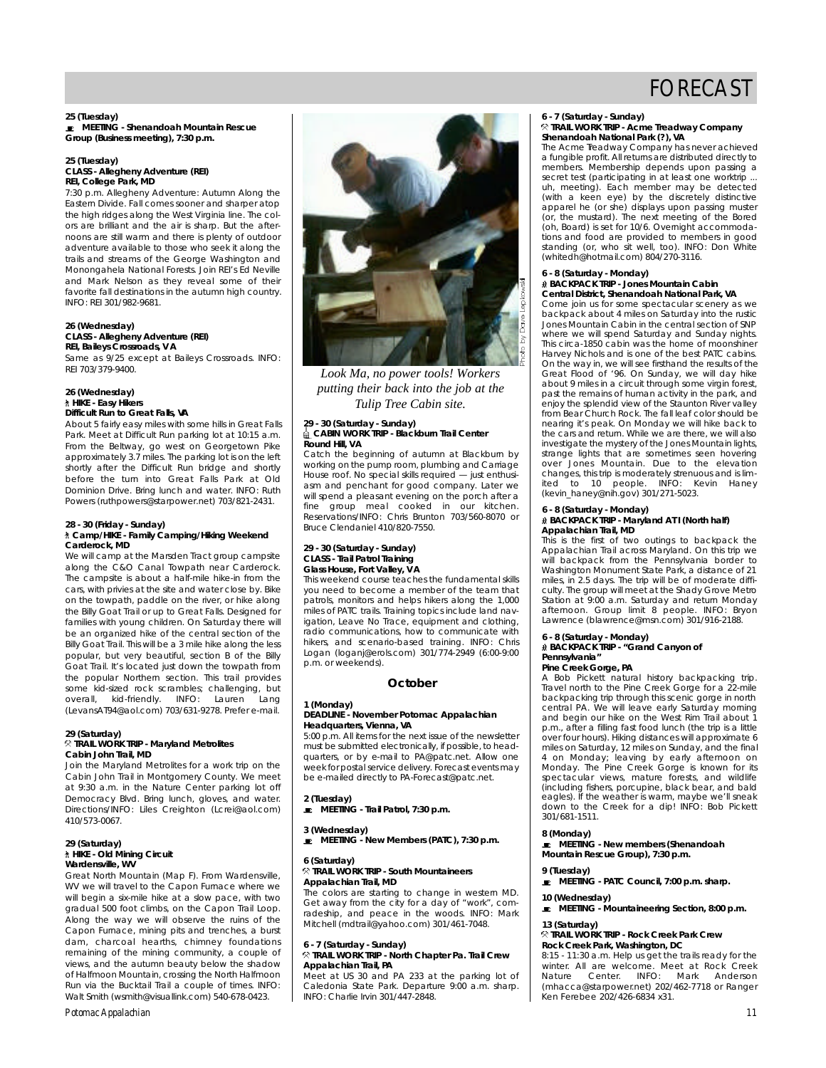**25 (Tuesday) MEETING - Shenandoah Mountain Rescue Group (Business meeting), 7:30 p.m.**

### **25 (Tuesday) REI, College Park, MD**

7:30 p.m. Allegheny Adventure: Autumn Along the Eastern Divide. Fall comes sooner and sharper atop the high ridges along the West Virginia line. The colors are brilliant and the air is sharp. But the afternoons are still warm and there is plenty of outdoor adventure available to those who seek it along the trails and streams of the George Washington and Monongahela National Forests. Join REI's Ed Neville and Mark Nelson as they reveal some of their favorite fall destinations in the autumn high country. favorite fall destinations in the autumn high country.  $\sum_{i=1}^{n}$ 

#### **26 (Wednesday) CLASS - Allegineity Adventure**<br>REI, Baileys Crossroads, VA **REI, Baileys Crossroads, IV.**

Same as 9/25 except at Baileys Crossroads. INFO:  $R = 700, 0.77, 0.000$ 

### **26 (Wednesday) Difficult Run to Great Falls, VA**

About 5 fairly easy miles with some hills in Great Falls Park. Meet at Difficult Run parking lot at 10:15 a.m. From the Beltway, go west on Georgetown Pike. approximately 3.7 miles. The parking lot is on the left shortly after the Difficult Run bridge and shortly before the turn into Great Falls Park at Old Dominion Drive. Bring lunch and water. INFO: Ruth Dominion Driver Bring lunch and water. INFO: Ruth.<br>Dower: (ruthpower@ctarpower.pot) 702/021-2421 Powers (ruthpowers@starpower.net) 703/821-2431.

## **28 - 30 (Crimary), and all property Camp/HIKE - Family Camping/Hiking Weekend<br>\* Camp/HIKE - Family Camping/Hiking Weekend Carderock, MD**<br>We will camp at the Marsden Tract group campsite

along the C&O Canal Towpath near Carderock. The campsite is about a half-mile hike-in from the cars, with privies at the site and water close by. Bikeon the towpath, paddle on the river, or hike along the Billy Goat Trail or up to Great Falls. Designed for families with young children. On Saturday there will be an organized hike of the central section of the Billy Goat Trail. This will be a 3 mile hike along the less popular, but very beautiful, section B of the Billy Goat Trail. It's located just down the towpath from the popular Northern section. This trail provides the popular Northern societies and provides some kid-sized rock scrambles; challenging, but overall, kid-friendly. INFO: Lauren Lang (LevansAT94@aol.com) 703/631-9278. Prefer e-mail.

### 29 (Saturday)<br><sup> $\dimes$ </sup> TRAIL WORK TRIP - Maryland Metrolites Cabin John Trail, MD

Join the Maryland Metrolites for a work trip on the Cabin John Trail in Montgomery County. We meet at 9:30 a.m. in the Nature Center parking lot off Democracy Blvd. Bring lunch, gloves, and water. Democracy Blvd. Bring lunch, gloves, and water. D i rections/INFO: Liles Creighton (Lerercaelleem) 410/573-0067.

### **29 (Saturday) Wardensville, WV**

Great North Mountain (Map F). From Wardensville, WV we will travel to the Capon Furnace where we will begin a six-mile hike at a slow pace, with two gradual 500 foot climbs, on the Capon Trail Loop. gradual 500 foot climbs, on the Capon Trail Loop. Along the way we will observe the ruins of the dam, charcoal hearths, chimney foundations remaining of the mining community, a couple of views, and the autumn beauty below the shadow of Halfmoon Mountain, crossing the North Halfmoon Run via the Bucktail Trail a couple of times. INFO: Run via the Bucktail Hair a couple of times. Internet Walt Smith (wsmithe risuallinitiesm) 540-678-0423.



*Look Ma, no power tools! Workers putting their back into the job at the Tulip Tree Cabin site.*

### **29 - 30 (Saturday - Sunday) Round Hill, VA**

Catch the beginning of autumn at Blackburn by working on the pump room, plumbing and Carriage House roof. No special skills required  $-$  just enthusiasm and penchant for good company. Later we will spend a pleasant evening on the porch after a will spend a pleasant evening on the porch after a<br>fine group meal cooked in our kitchen. Reservations/INFO: Chris Brunton 703/560-8070 or Bruce Clendaniel 410/820-7550.

**29 - 30 (Saturday - Sunday) Glass House, Fort Valley, VA** 

This weekend course teaches the fundamental skills you need to become a member of the team that patrols, monitors and helps hikers along the 1,000 miles of PATC trails. Training topics include land navigation, Leave No Trace, equipment and clothing, radio communications, how to communicate with radio communications, how to communicate with<br>hikers, and scenario-based training. INFO: Chris<br>Logan (logani@crok.com) 301/774-2049 (6:00.9:00 p.m. or weekends) p.m. or weekends).

#### **October**

### **1 (Monday) Headquarters, Vienna, VA**

5:00 p.m. All items for the next issue of the newsletter must be submitted electronically, if possible, to headquarters, or by e-mail to PA@patc.net. Allow one week for postal service delivery. Forecast events may week for postal service delivery. Forecast events may be e-mailed directly to PA-F orecast@patc.net.

**2 (Tuesday) MEETING - Trail Patrol, 7:30 p.m.**

**3 (Wednesday) MEETING - New Members (PATC), 7:30 p.m.**

### **6 (Saturday) Appalachian Trail, MD**

The colors are starting to change in western MD. Get away from the city for a day of "work", comradeship, and peace in the woods. INFO: Mark radeship, and peace in the woods. INFO: Mark Mitchell (mdtrail@yahoo.com) 301/461-7048.

### **6 - 7 (Saturday - Sunday) Appalachian Trail, PA.**

Meet at US 30 and PA 233 at the parking lot of Meet at 50 30 and PH 243 at the 9:00 a.m. sharp. Caledonia State Park. Departure 9:00 a.m. sharp. INFO: Charlie Irvin 301/447-2848.

### Shenandoah National Park (?), VA

**Shenandoah National Park (?), Passence achieved**<br>The Acme Treadway Company has never achieved<br>a fungible profit. All returns are distributed directly to members. Membership depends upon passing a secret test (participating in at least one worktrip secret test (participating in at least one worktrip ... uh, meeting). Each member may be detected (with a keen eye) by the discretely distinctive appeared he (or she) displays upon passing muster (oh, Board) is set for 10/6. Overnight accommodations and food are provided to members in good tions and food are provided to members in good standing (or, who sit well, too). INFO: Don White (whitedh@hotmail.com) 804/270-3116.

## **6 - 8 (Saturday - Monday)**

**Central District, Shenandoah National Park, VA** Come join us for some spectacular scenery as we backpack about 4 miles on Saturday into the rustic Jones Mountain Cabin in the central section of SNP vince we will spend Saturday and Sunday nights.<br>Where we will spend Saturday and Sunday nights. This circa-1850 cabin was the home of moonshine. If the way in, we will see firsthand the results of the Great Flood of '96. On Sunday, we will day hike about 9 miles in a circuit through some virgin forest, past the remains of human activity in the park, and eniov the splendid view of the Staunton River valley enjoy the splendid view of the stationarity called valley nearing it's peak. On Monday we will hike back to the cars and return. While we are there, we will also investigate the mystery of the Jones Mountain lights, strange lights that are sometimes seen hovering strange lights that are sometimes seen hovering over Jones Mountain. Due to the elevation changes, this trip is moderately strenuous and is lim-ited to 10 people. INFO: Kevin Haney (kevin\_haney@nih.gov) 301/271-5023.

### **6 - 8 (Saturday - Monday) Appalachian Trail, MD**

This is the first of two outings to backpack the This is the first of two outings to backpack the Appalachian Trail across Maryland. On this trip we Washington Monument State Park, a distance of 21 miles, in 2.5 days. The trip will be of moderate difficulty. The group will meet at the Shady Grove Metro Station at 9:00 a.m. Saturday and return Monday Station at 7.50 a.m. Saturday and return Monday<br>afternoon. Group limit 8 people. INFO: Bryon<br>Lawrence (blawrence@msn.com) 301/916-2188.

### **6 - 8 (Saturday - Monday) BACKPACK TRIP - "Grand Canyon of Pennsylvania"**

**Pine Creek Corgo, Price Barrow backpacking trip.** Travel north to the Pine Creek Gorge for a 22-mile backpacking trip through this scenic gorge in north central PA. We will leave early Saturday morning and begin our hike on the West Rim Trail about 1 and begin our hilling fast food lunch (the trip is a little<br>p.m., after a filling fast food lunch (the trip is a little<br>p.w.g. four bours). Hiking distances will approximate 6 over four hours). Himing distances this approximate 6 4 on Monday; leaving by early afternoon on Monday. The Pine Creek Gorge is known for its monday. The Theory is spectacular views, mature forests, and wildlife<br>spectacular views, mature forests, and wildlife eagles). If the weather is warm, maybe we'll sneak down to the weather is warm, maybe we instead.<br>down to the Creek for a dip! INFO: Bob Pickett 301/681-1511.

8 (Monday)<br>**■** MEETING - New members (Shenandoah **MEETING - New members (Shenandoah Mountain Rescue Group), 7:30 p.m.**

**9 (Tuesday) MEETING - PATC Council, 7:00 p.m. sharp.**

**10 (Wednesday) MEETING - Mountaineering Section, 8:00 p.m.**

### **13 (Saturday) Rock Creek Park, Washington, DC**

**Rock Creek Creek Park, Washington, Depute Park, Washington, DC**<br>Winter. All are welcome. Meet at Rock Creek<br>Nature. Conter. MEO: Mark Anderson Nature Center. INFO: Mark Anderson<br>(mhacca@starpower.net) 202/462-7718 or Ranger ( m a c c a c s t a r p o w e m c r r c a r r r c c r r r c s r r r c g c r r r c c r r r c c r r c c r r c c r <br>Ken Ferebee 202/426-6834 x 31.

## FORECAST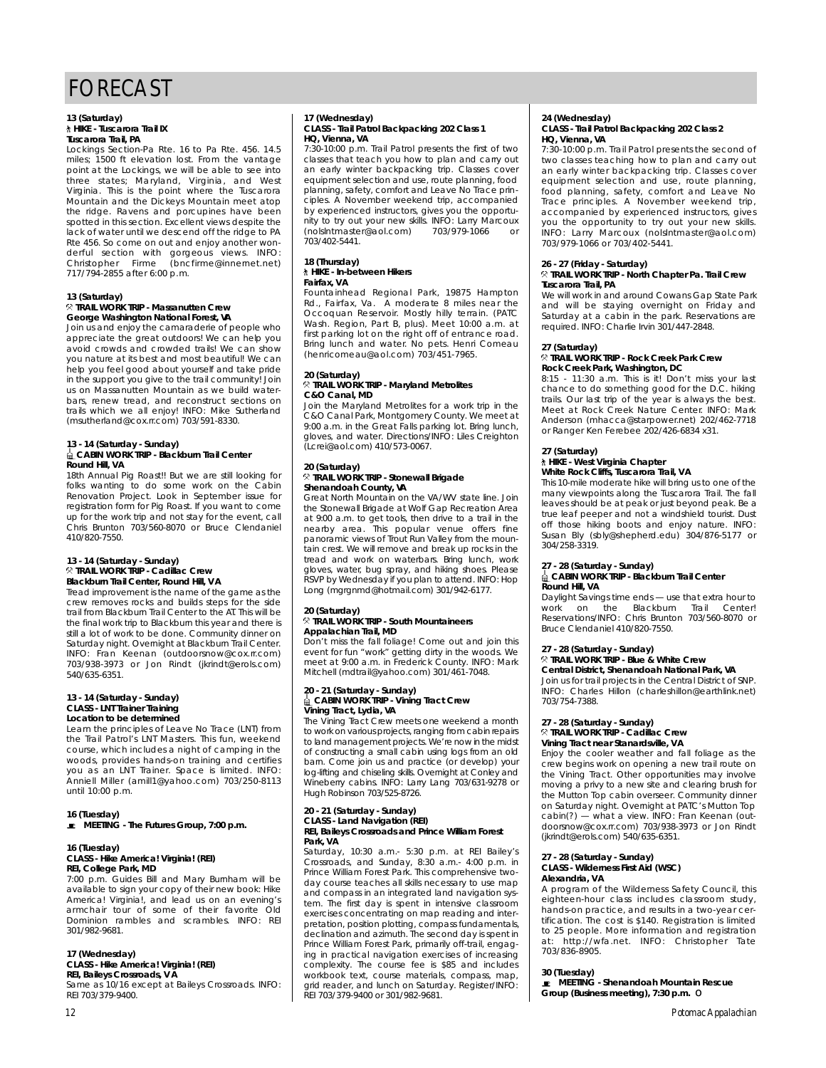## FORECAST

## **13 (Saturday)**

**Tuscarora Trail, PA** 

Lockings Section-Pa Rte. 16 to Pa Rte. 456. 14.5 miles; 1500 ft elevation lost. From the vantage point at the Lockings, we will be able to see into three states; Maryland, Virginia, and West Virginia. This is the point where the Tuscarora Mountain and the Dickeys Mountain meet atop the ridge. Rayens and porcupines have been spotted in this section. Excellent views despite the lack of water until we descend off the ridge to PA Rte 456. So come on out and enjoy another won-Rte 456. So come on out and enjoy another won-d e rful section with gorgeous views. INFO: Christopher Firme (bncfirm e @ i n n e rn e t . n e t ) 717/794-2855 after 6:00 p.m.

### 13 (Saturday)<br><sup>⊗</sup> TRAIL WORK TRIP - Massanutten Crew **George Washington National Forest, VA**

Join us and enjoy the camaraderie of people who appreciate the great outdoors! We can help you avoid crowds and crowded trails! We can show you nature at its best and most beautiful! We can belp you feel good about yourself and take pride in the support you give to the trail community! Join us on Massanutten Mountain as we build waterbars, renew tread, and reconstruct sections on<br>trails which we all oniou! INFO: Mike Sutherland trails which we all enjoy! Info: Mike Sutherland<br>(msutherland@cox.rr.com) 703/591-8330.

# <u>↓</u> CABIN WORK TRIP - Blackburn Trail Center<br>● CABIN WORK TRIP - Blackburn Trail Center

**Round Hill,** *Round Hill, But we are still looking for*<br>18th Annual Pig Roast!! But we are still looking for Renovation Project. Look in September issue for registration form for Pig Roast. If you want to come<br>registration form for Pig Roast. If you want to come<br>up for the work trip and not stay for the event, call up for the work trip and not stay for the event, call Chris Brunton 703/560-8070 or Bruce Clendaniel 410/820-7550.

### **13 - 14 (Saturday - Sunday) Blackburn Trail Center, Round Hill, VA**

Tread improvement is the name of the game as the crew removes rocks and builds steps for the side trail from Blackburn Trail Center to the AT. This will be the final work trip to Blackburn this year and there is still a lot of work to be done. Community dinner on Saturday night. Overnight at Blackburn Trail Center. INFO: Fran Keenan (outdoorsnow@cox.rr.com) INFO: Fran Keenan (outdoorsnow@cox.rr. c o m ) 703/938-3973 or Jon Rindt (jkrindt@ero l s . c o m )

### **13 - 14 (Saturday - Sunday)** Location to be determined

Learn the principles of Leave No Trace (LNT) from the Trail Patrol's LNT Masters. This fun, weekend course, which includes a night of camping in the woods, provides hands-on training and certifies woods, provides hands-on training and certifies<br>Anniell Miller (amill1@yahoo.com) 703/250-8113<br>Anniell Miller (amill1@yahoo.com) 703/250-8113 until 10:00 p.m.

**16 (Tuesday) MEETING - The Futures Group, 7:00 p.m.**

#### **16 (Tuesday) REI, College Park, MD**

7:00 p.m. Guides Bill and Mary Burnham will be available to sign your copy of their new book: Hike America! Virginia!, and lead us on an evening's armchair tour of some of their favorite Old Dominion rambles and scrambles. INFO: RFI Dominion rambles and scrambles. INFO: REI 301/982-9681.

**17 (Wednesday)**

**REI, Baileys Crossroads, VA REI, Baileys Crossroads, V A** Same as 10/16 except at Baileys Crossroads. INFO: REI 703/379-9400.

# **17 (Wednesday) CLASS - Trail Patrol Backpacking 202 Class 1**

**HQ, Vienna, VA**<br>7:30-10:00 p.m. Trail Patrol presents the first of two classes that teach you how to plan and carry out an early winter backpacking trip. Classes cover equipment selection and use, route planning, food planning, safety, comfort and Leave No Trace principles. A November weekend trip, accompanied by experienced instructors, gives you the opportunity to try out your new skills. INFO: Larry Marcoux nity to try out your new skills. In the skills. In the skills. In the skills. In the skills. In the skills. In (nolslntmaster@aol.com) 703/979-1066 or 703/402-5441.

## **18 (Thursday)**

#### Fairfax, VA

Fountainhead Regional Park, 19875 Hampton Foundamined Regional Park, 1998 Hampton Occoquan Reservoir. Mostly hilly terrain. (PATC Wash. Region, Part B, plus). Meet 10:00 a.m. at first parking lot on the right off of entrance road. Bring lunch and water. No pets. Henri Comeau Bring lunch and water. No pets. Henri Comeau (henricomeau@aol.com) 703/451-7965.

#### **20 (Saturday)** C&O Canal, MD

Join the Maryland Metrolites for a work trip in the C&O Canal Park, Montgomery County. We meet at 9:00 a.m. in the Great Falls parking lot. Bring lunch, gloves, and water. Directions/INFO: Liles Creighton gloves, and water. Directions/INFO: Liles Creighton (Lcrei@aol.com) 410/573-0067.

### **20 (Saturday) Shenandoah County, VA**

Great North Mountain on the VA/WV state line. Join the Stonewall Brigade at Wolf Gap Recreation Area at 9:00 a.m. to get tools, then drive to a trail in the at 9:00 a.m. to get tools, then drive to a trail in the<br>nearby area. This popular venue offers fine<br>nearby situation of trail in Valloy from the moun tain crest. We will remove and break up rocks in the tread and work on waterbars. Bring lunch, work the and work on waterbars. Emigration, working shows. RSVP by Wednesday if you plan to attend. INFO: Hop RSVP by Wednesday if you plan to attend. INFO: Hope<br>Long (mgrgnmd@hotmail.com) 301/942-6177.

### **20 (Saturday) Appalachian Trail, MD**

Don't miss the fall foliage! Come out and join this event for fun "work" getting dirty in the woods. We meet at 9:00 a.m. in Frederick County. INFO: Mark meet at 9:00 a.m. in Frederick County. INFO: Mark Mitchell (mdtrail@yahoo.com) 301/461-7048.

### **20 - 21 (Saturday - Sunday) Vining Tract, Lydia, VA**

The Vining Tract Crew meets one weekend a month to work on various projects, ranging from cabin repairs to land management projects. We're now in the midst to land management provided management provided management of constructing a small cabin using logs from an old barn. Come join us and practice (or develop) your log-lifting and chiseling skils. Overnight at Conley and Wineberry cabins. INFO: Larry Lang 703/631-9278 or Wineberry cabins. INFO: Larry Lang 703/631-9278 or Hugh Robinson 703/525-8726.

### **20 - 21 (Saturday - Sunday) CLASS - Land Navigation (REI)**<br>REI, Baileys Crossroads and Prince William Forest<br>Rark MA Park, VA<br>Saturday, 10:30 a.m.- 5:30 p.m. at REI Bailey's

S a taking the state and sum to the state of the state of the state of the Rei Bailey's procession of the Rei Bailey's procession of the Rei Bailey's procession of the Rei Bailey's procession of the Rei Bailey's procession day course teaches all skills necessary to use map and compass in an integrated land navigation system. The first day is spent in intensive classroom exercises concentrating on map reading and interpretation, position plotting, compass fundamentals, declination and azimuth. The second day is spent in Prince William Forest Park, primarily off-trail, engaging in practical navigation exercises of increasing complexity. The course fee is \$85 and includes workbook text, course materials, compass, map, grid reader, and lunch on Saturday. Register/INFO: grid reader, and lunch on Saturday. Register/INFO: REI 703/379-9400 or 301/982-9681.

## **24 (Wednesday) CLASS - Trail Patrol Backpacking 202 Class 2**

**HQ, Vienna, VA**<br>7:30-10:00 p.m. Trail Patrol presents the second of two classes teaching how to plan and carry out an early winter backpacking trip. Classes cover equipment selection and use, route planning, food planning, safety, comfort and Leave No Trace principles. A November weekend trip, accompanied by experienced instructors, gives you the opportunity to try out your new skills. INFO: Larry Marcoux (nolsintmaster@aol.com) 703/979-1066 or 703/402-5441.  $703/777$   $1000$  or  $703/102$   $0$   $1111$ .

### **26 - 27 (Friday - Saturday) Tuscarora Trail, PA.**

We will work in and around Cowans Gap State Park and will be staying overnight on Friday and Saturday at a cabin in the park. Reservations are required. INFO: Charlie Irvin 301/447-2848. required. In Text endine Irvin 801/447-2848.

### **27 (Saturday) Rock Creek Park, Washington, DC**

8:15 - 11:30 a.m. This is it! Don't miss your last chance to do something good for the D.C. hiking trails. Our last trip of the year is always the best. trains. Our last trip of the year is always the best. Anderson (mhacca@starpower.net) 202/462-7718 Anderson (mhacca@starpower.net) 202/462-7718 or Ranger Ken Ferebee 202/426-6834 x31.

### **27 (Saturday) White Rock Cliffs, Tuscarora Trail, VA**

This 10-mile moderate hike will bring us to one of the many viewpoints along the Tuscarora Trail. The fall leaves should be at peak or just beyond peak. Be a true leaf peeper and not a windshield tourist. Dust true leaf peeper and not a windshield tourist. Dust off those hiking boots and enjoy nature. INFO: Susan Bly (sbly@shepherd.edu) 304/876-5177 or

#### **27 - 28 (Saturday - Sunday) Round Hill, VA**

Daylight Savings time ends - use that extra hour to work on the Blackburn Trail Center! Reservations/INFO: Chris Brunton 703/560-8070 or Reservations/INFO: Chris Brunton 703/560-8070 or Bruce Clendaniel 410/820-7550.

### **27 - 28 (Saturday - Sunday) Central District, Shenandoah National Park, VA**

Join us for trail projects in the Central District of SNP. Join us for trail projects in the Central District of SNP. INFO: Charles Hillon (charleshillon@earthlink.net) 703/754-7388.

### **27 - 28 (Saturday - Sunday) Vining Tract near Stanardsville, VA**

Enjoy the cooler weather and fall foliage as the crew begins work on opening a new trail route on the Vining Tract. Other opportunities may involve moving a privy to a new site and clearing brush for moving a privy to a new site and clearing brash for on Saturday night. Overnight at PATC's Mutton Top on saturacy night. Overlaght at PATC's matterney cabin(?) — what a view. INFO: Fran Keenan (outdoorsnow@cox.rr.com) 703/938-3973 or Jon Rindt doorsnow@cox.rr.com) 703/938-3973 or Jon Rindt (jkrindt@erols.com) 540/635-6351.

# **27 - 28 (Saturday - Sunday) CLASS - Wilderness First Aid (WSC)**

**Alexandria, VA** eighteen-hour class includes classroom study, hands-on practice, and results in a two-year cer $h$ ands-on practice, and results in a two-year cer-<br>tification. The cost is \$140. Registration is limited<br>to 25 posple. More information and registration to 25 people. More information and registration<br>at: http://wfa.net. INFO: Christopher Tate<br>703/836 8005 7 0 3 / 8 3 6 - 8 9 0 5 .

**30 (Tuesday) MEETING - Shenandoah Mountain Rescue Group (Business meeting), 7:30 p.m.** ❏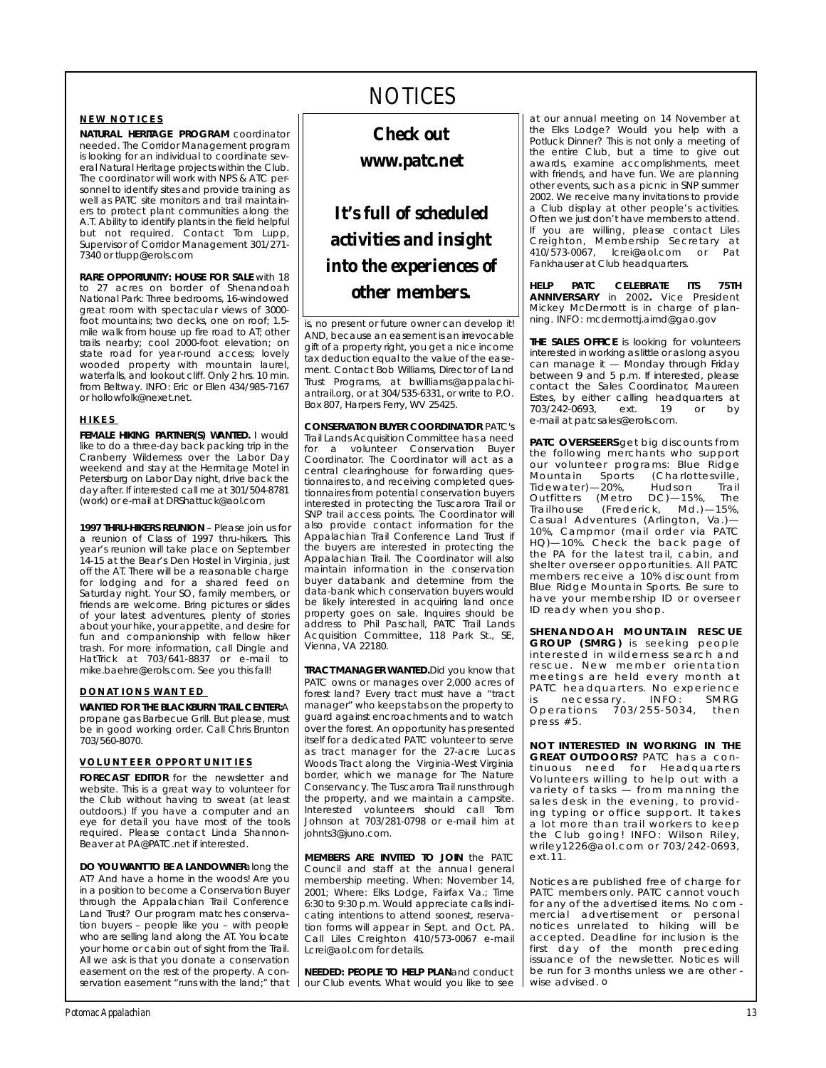#### **NEW NOTICES**

**NATURAL HERITAGE PROGRAM** coordinator<br>needed. The Corridor Management program is looking for an individual to coordinate several Natural Heritage projects within the Club. The coordinator will work with NPS & ATC personnel to identify sites and provide training as well as PATC site monitors and trail maintainers to protect plant communities along the A.T. Ability to identify plants in the field helpful but not required. Contact Tom Lupp, Supervisor of Corridor Management 301/271-Supervisor of Corridor Management 301/271- 7340 or tlupp@erols.com

**RARE OPPORTUNITY: HOUSE FOR SALE** with 18 to 27 acres on border of Shenandoah National Park: Three bedrooms, 16-windowed great room with spectacular views of 3000foot mountains; two decks, one on roof; 1.5mile walk from house up fire road to AT; other mile walk from house up fire road to AT; other<br>trails nearby: cool 2000-foot elevation: on trails nearby; cool 2000-foot elevation; on<br>state road for vear-round access: lovely state road for year- round access; lovely wooded property with modificant laurer,<br>waterfalls and lookout cliff Only 2 hrs 10 min from Beltway. INFO: Eric or Ellen 434/985-7167 or hollowfolk@nexet.net. or hollowfolk@nexet.net.

#### **HIKES**

**FEMALE HIKING PARTNER(S) WANTED. I would like to do a three-day back packing trip in the** Cranberry Wilderness over the Labor Day weekend and stay at the Hermitage Motel in Petersburg on Labor Day night, drive back the day after. If interested call me at 301/504-8781 day after. If interested call me at 331/504-5781<br>(work) or e-mail at DPShattuck@aol.com (work) or e-mail at DRShattuck@aol.com

**1997 THRU-HIKERS REUNION** – Please join us for a reunion of Class of 1997 thru-hikers. This year's reunion will take place on September 14-15 at the Bear's Den Hostel in Virginia, just off the AT. There will be a reasonable charge for lodging and for a shared feed on for lodging and for a shared feed on friends are welcome. Bring pictures or slides of your latest adventures, plenty of stories about your hike, your appetite, and desire for fun and companionship with fellow hiker frach and companionship with fellow hiller trash. For more information, call Dingle and<br>HatTrick at 703/641-8837 or e-mail to matmon at 703/641-9837 or e-mail to<br>mike haehre@erols.com See vou this falll mike.baehred erols.com. See you this fall!

#### **DONATIONS WANTED**

**WANTED FOR THE BLACKBURN TRAIL CENTER:**A be in good working order. Call Chris Brunton  $703/560-8070$ 703/560-8070.

#### **VOLUNTEER OPPORTUNITIES**

**FORECAST EDITOR** for the newsletter and website. This is a great way to volunteer for the Club without having to sweat (at least outdoors.) If you have a computer and an eye for detail you have most of the tools required. Please contact Linda Shannonre qui car i ricase contact Linda Shannon-<br>Request at PA@PATC net if interested Beaver at PA@PATC.net if interested.

**DO YOU WANT TO BE A LANDOWNERalong the AT? And have a home in the woods! Are you** in a position to become a Conservation Buyer through the Appalachian Trail Conference Land Trust? Our program matches conservation buyers - people like you - with people who are selling land along the AT You locate your home or cabin out of sight from the Trail. All we ask is that you donate a conservation easement on the rest of the property. A coneasement on the rest of the property. A con-<br>consation occomont "runs with the land:" that servation easement "runs with the land;" that

## NOTICES

*Check out www.patc.net*

## *It's full of scheduled activities and insight into the experiences of other members.*

is, no present or future owner can develop it!<br>AND, because an easement is an irrevocable gift of a property right, you get a nice income tax deduction equal to the value of the easement. Contact Bob Williams, Director of Land Trust Programs, at bwilliams@appalachi $antral.org$ , or at 304/535-6331, or write to P.O. and allowing for at 304/535-5631, or write to Hotel<br>Roy 2017 Harpors Form WW 25425  $B_0$  807, Harpers Ferry, WV 25425.

**CONSERVATION BUYER COORDINATOR** PATC's Trail Lands Acquisition Conservation Buyer coordinator. The Coordinator will act as a central clearinghouse for forwarding quescompleted questionnaires from potential conservation buyers interested in protecting the Tuscarora Trail or SNP trail access points. The Coordinator will also provide contact information for the Appalachian Trail Conference Land Trust if the buyers are interested in protecting the Appalachian Trail. The Coordinator will also maintain information in the conservation buyer databank and determine from the data-bank which conservation buyers would be likely interested in acquiring land once property goes on sale. Inquires should be address to Phil Paschall, PATC Trail Lands address to Phil Paschall, Philo Hall Lands<br>Acquisition Committee 118 Park St. SE Acquisition Committee, 118 Park St., SE, Vienna, VA 22180.

**TRACT MANAGER WANTED.** Did you know that PATC owns or manages over 2,000 acres of forest land? Every tract must have a "tract manager" who keeps tabs on the property to quard against encroachments and to watch over the forest. An opportunity has presented itself for a dedicated PATC volunteer to serve as tract manager for the 27-acre Lucas Woods Tract along the Virginia-West Virginia border, which we manage for The Nature Conservancy. The Tuscarora Trail runs through the property, and we maintain a campsite. Interested volunteers should call Tom Johnson at 703/281-0798 or e-mail him at Johnson at 703/281-0798 or e-mail him at johnts3@juno.com.

**MEMBERS ARE INVITED TO JOIN** the PATC Council and staff at the annual general membership meeting. When: November 14, 2001; Where: Elks Lodge, Fairfax Va.; Time 6:30 to 9:30 p.m. Would appreciate calls indicating intentions to attend soonest, reservation forms will appear in Sept. and Oct. PA. Call Liles Creighton 410/573-0067 e-mail call Liles Creighton 410/573-0067 - 5-mail<br>I croi@aol com for dotails Lcrei@aol.com for details.

**NEEDED: PEOPLE TO HELP PLAN**and conduct our Club events. What would you like to see

at our annual meeting on 14 November at Potluck Dinner? This is not only a meeting of the entire Club, but a time to give out awards, examine accomplishments, meet with friends, and have fun. We are planning other events, such as a picnic in SNP summer 2002. We receive many invitations to provide a Club display at other people's activities. Often we just don't have members to attend. If you are willing, please contact Liles Creighton, Membership Secretary at 410/573-0067, Icrei@aol.com or Pat 110/573-0067, lcreibedeilden or Pat Fankhauser at Club headquarters.

**HFIP ANNIVEDSARY** in 2002 Vice President **A N I LOOKED A RESULT A RESPONSE I** LOCAL TRUSTANCE.<br>Mickey McDermott is in charge of plan. mishey mebermott is in enarge of plan-<br>ning-INEO: medermotti aimd@gao.gov ning. Info: mcdermottj.aimd@gao.gov

**THE SALES OFFICE** is looking for volunteers interested in working as little or as long as you can manage it  $-$  Monday through Friday between 9 and 5 p.m. If interested, please contact the Sales Coordinator, Maureen contact the cales coordinately matricent<br>Estes by either calling headquarters at Estes, by either calling headquarters at  $703/212.0096$ , ext. 19 or by e-mail at patellalese erollelemi

**PATC OVERSEERS** get big discounts from<br>the following merchants who support the rollowing merchants who support our volumbor programs: Blue Ridge<br>Mountain Sports (Charlottesville Mountain Sports (Charlottesville,<br>Tidewater)—20%, Hudson Trail Outfitters (Metro DC)-15%, The  $Trailhouse$  (Frederick, Md.)-15%, Casual Adventures (Arlington, Va.)— 10%, Campmor (mail order via PATC 19%, Campmor (mail order via PATS)<br>HOI—10%, Check the back nage of HQ) TOWE SHOOK THE BACK page of<br>the DA for the latest trail cabin and shelter overseer opportunities. All PATC members receive a 10% discount from Blue Ridge Mountain Sports. Be sure to have your membership ID or overseer have your membership ID or overseer ID ready when you shop.

**SHENANDOAH MOUNTAIN RESCUE**<br>**GROUP** (SMRG) is seeking people interested in wilderness search and rescue. New member orientation meetings are held every month at matc headquarters. No experience PATC headquarters. No experience is necessary. International states Op diations 7 0 3/ 2 5 5 50 4, then<br>prass #5 p ress #5.

**NOT INTERESTED IN WORKING IN THE** tinuous need for Headquarters Volunteers willing to help out with a volunteers willing to help out will a variety of tasks — from manning the<br>sales desk in the evening to provid. ing typing or office support. It takes a lot more than trail workers to keep the Club going! INFO: Wilson Riley, the Club going. Info: Wilson Riley, willey 12260 aoil 0011 of 703/242-0693,<br>ext 11 e x t . 1 1 .

*Notices are published free of charge for* for any of the advertised items. No com *mercial advertisement or personal morein existed* to hiking will be accepted. Deadline for inclusion is the *accepted. Deadline for inclusion is the first day of the month preceding*<br>*issuance of the newsletter Notices will* be run for 3 months unless we are other *be run for 3 months unless we are other - wise advised.* ❏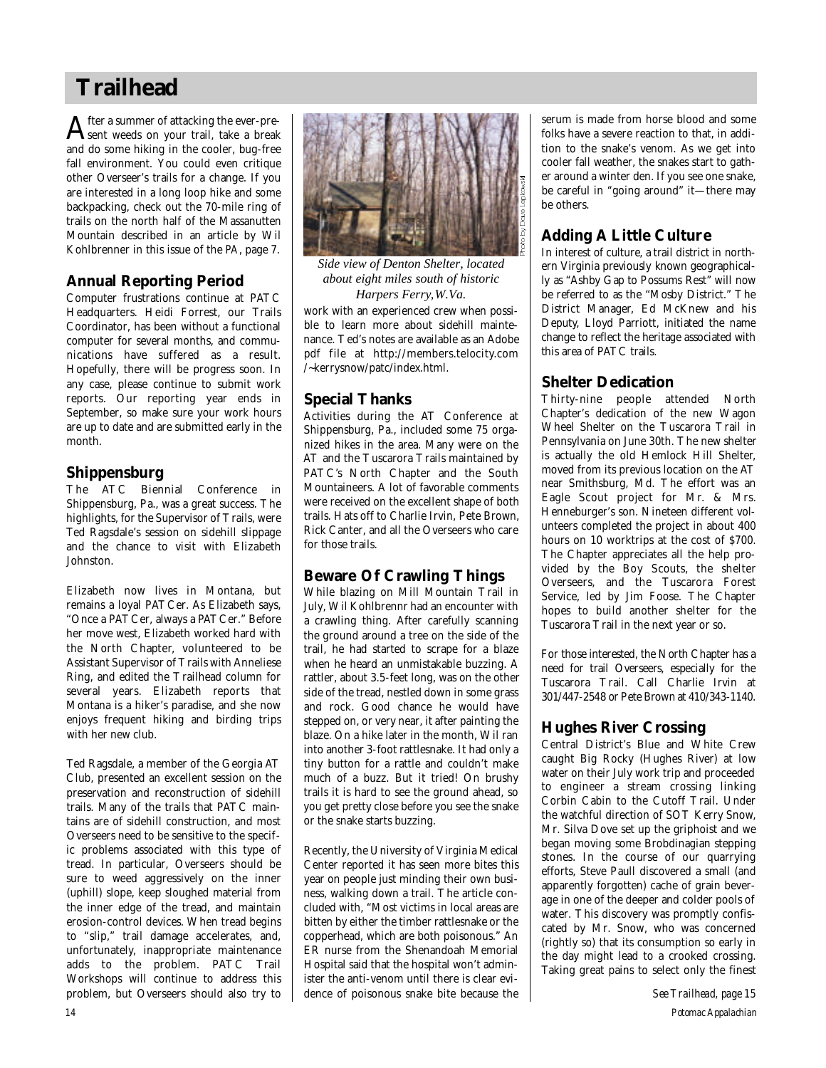## **Trailhead**

 ${\bf A}$ fter a summer of attacking the ever-pre-<br> ${\bf A}$ sent weeds on your trail, take a break sent weeds on your trail, take a break and do some hiking in the cooler, bug-free fall environment. You could even critique other Overseer's trails for a change. If you are interested in a long loop hike and some backpacking, check out the 70-mile ring of trails on the north half of the Massanutten Mountain described in an article by Wil Kohlbrenner in this issue of the *PA*, page 7.

### **Annual Reporting Period**

Computer frustrations continue at PATC Headquarters. Heidi Forrest, our Trails Coordinator, has been without a functional computer for several months, and communications have suffered as a result. Hopefully, there will be progress soon. In any case, please continue to submit work reports. Our reporting year ends in September, so make sure your work hours are up to date and are submitted early in the month.

### **Shippensburg**

The ATC Biennial Conference in Shippensburg, Pa., was a great success. The highlights, for the Supervisor of Trails, were Ted Ragsdale's session on sidehill slippage and the chance to visit with Elizabeth Johnston.

Elizabeth now lives in Montana, but remains a loyal PATCer. As Elizabeth says, "Once a PATCer, always a PATCer." Before her move west, Elizabeth worked hard with the North Chapter, volunteered to be Assistant Supervisor of Trails with Anneliese Ring, and edited the Trailhead column for several years. Elizabeth reports that Montana is a hiker's paradise, and she now enjoys frequent hiking and birding trips with her new club.

Ted Ragsdale, a member of the Georgia AT Club, presented an excellent session on the preservation and reconstruction of sidehill trails. Many of the trails that PATC maintains are of sidehill construction, and most Overseers need to be sensitive to the specific problems associated with this type of tread. In particular, Overseers should be sure to weed aggressively on the inner (uphill) slope, keep sloughed material from the inner edge of the tread, and maintain erosion-control devices. When tread begins to "slip," trail damage accelerates, and, unfortunately, inappropriate maintenance adds to the problem. PATC Trail Workshops will continue to address this problem, but Overseers should also try to



*Side view of Denton Shelter, located about eight miles south of historic Harpers Ferry, W.Va.*

work with an experienced crew when possible to learn more about sidehill maintenance. Ted's notes are available as an Adobe pdf file at http://members.telocity.com /~kerrysnow/patc/index.html.

### **Special Thanks**

Activities during the AT Conference at Shippensburg, Pa., included some 75 organized hikes in the area. Many were on the AT and the Tuscarora Trails maintained by PATC's North Chapter and the South Mountaineers. A lot of favorable comments were received on the excellent shape of both trails. Hats off to Charlie Irvin, Pete Brown, Rick Canter, and all the Overseers who care for those trails.

### **Beware Of Crawling Things**

While blazing on Mill Mountain Trail in July, Wil Kohlbrennr had an encounter with a crawling thing. After carefully scanning the ground around a tree on the side of the trail, he had started to scrape for a blaze when he heard an unmistakable buzzing. A rattler, about 3.5-feet long, was on the other side of the tread, nestled down in some grass and rock. Good chance he would have stepped on, or very near, it after painting the blaze. On a hike later in the month, Wil ran into another 3-foot rattlesnake. It had only a tiny button for a rattle and couldn't make much of a buzz. But it tried! On brushy trails it is hard to see the ground ahead, so you get pretty close before you see the snake or the snake starts buzzing.

Recently, the University of Virginia Medical Center reported it has seen more bites this year on people just minding their own business, walking down a trail. The article concluded with, "Most victims in local areas are bitten by either the timber rattlesnake or the copperhead, which are both poisonous." An ER nurse from the Shenandoah Memorial Hospital said that the hospital won't administer the anti-venom until there is clear evidence of poisonous snake bite because the serum is made from horse blood and some folks have a severe reaction to that, in addition to the snake's venom. As we get into cooler fall weather, the snakes start to gather around a winter den. If you see one snake, be careful in "going around" it—there may be others.

### **Adding A Little Culture**

In interest of culture, a trail district in northern Virginia previously known geographically as "Ashby Gap to Possums Rest" will now be referred to as the "Mosby District." The District Manager, Ed McKnew and his Deputy, Lloyd Parriott, initiated the name change to reflect the heritage associated with this area of PATC trails.

### **Shelter Dedication**

Thirty-nine people attended North Chapter's dedication of the new Wagon Wheel Shelter on the Tuscarora Trail in Pennsylvania on June 30th. The new shelter is actually the old Hemlock Hill Shelter, moved from its previous location on the AT near Smithsburg, Md. The effort was an Eagle Scout project for Mr. & Mrs. Henneburger's son. Nineteen different volunteers completed the project in about 400 hours on 10 worktrips at the cost of \$700. The Chapter appreciates all the help provided by the Boy Scouts, the shelter Overseers, and the Tuscarora Forest Service, led by Jim Foose. The Chapter hopes to build another shelter for the Tuscarora Trail in the next year or so.

For those interested, the North Chapter has a need for trail Overseers, especially for the Tuscarora Trail. Call Charlie Irvin at 301/447-2548 or Pete Brown at 410/343-1140.

### **Hughes River Crossing**

Central District's Blue and White Crew caught Big Rocky (Hughes River) at low water on their July work trip and proceeded to engineer a stream crossing linking Corbin Cabin to the Cutoff Trail. Under the watchful direction of SOT Kerry Snow, Mr. Silva Dove set up the griphoist and we began moving some Brobdinagian stepping stones. In the course of our quarrying efforts, Steve Paull discovered a small (and apparently forgotten) cache of grain beverage in one of the deeper and colder pools of water. This discovery was promptly confiscated by Mr. Snow, who was concerned (rightly so) that its consumption so early in the day might lead to a crooked crossing. Taking great pains to select only the finest

*14 Potomac Appalachian See Trailhead, page 15*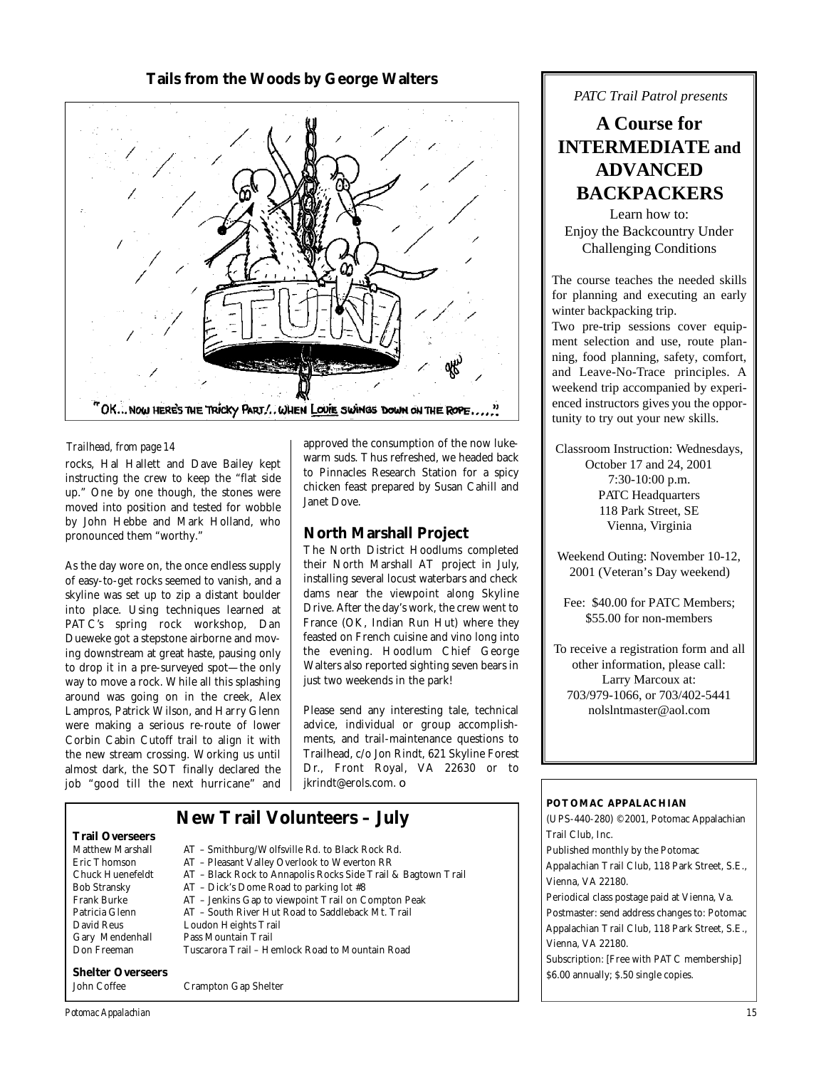### **Tails from the Woods by George Walters**



#### *Trailhead, from page 14*

rocks, Hal Hallett and Dave Bailey kept instructing the crew to keep the "flat side up." One by one though, the stones were moved into position and tested for wobble by John Hebbe and Mark Holland, who pronounced them "worthy."

As the day wore on, the once endless supply of easy-to-get rocks seemed to vanish, and a skyline was set up to zip a distant boulder into place. Using techniques learned at PATC's spring rock workshop, Dan Dueweke got a stepstone airborne and moving downstream at great haste, pausing only to drop it in a pre-surveyed spot—the only way to move a rock. While all this splashing around was going on in the creek, Alex Lampros, Patrick Wilson, and Harry Glenn were making a serious re-route of lower Corbin Cabin Cutoff trail to align it with the new stream crossing. Working us until almost dark, the SOT finally declared the job "good till the next hurricane" and approved the consumption of the now lukewarm suds. Thus refreshed, we headed back to Pinnacles Research Station for a spicy chicken feast prepared by Susan Cahill and Janet Dove.

### **North Marshall Project**

The North District Hoodlums completed their North Marshall AT project in July, installing several locust waterbars and check dams near the viewpoint along Skyline Drive. After the day's work, the crew went to France (OK, Indian Run Hut) where they feasted on French cuisine and vino long into the evening. Hoodlum Chief George Walters also reported sighting seven bears in just two weekends in the park!

Please send any interesting tale, technical advice, individual or group accomplishments, and trail-maintenance questions to Trailhead, c/o Jon Rindt, 621 Skyline Forest Dr., Front Royal, VA 22630 or to jkrindt@erols.com. ❏

#### **Trail Overseers** Matthew Marshall AT – Smithburg/Wolfsville Rd. to Black Rock Rd.<br>
Fric Thomson AT – Pleasant Valley Overlook to Weverton RR Eric Thomson AT – Pleasant Valley Overlook to Weverton RR<br>Chuck Huenefeldt AT – Black Rock to Annapolis Rocks Side Trail & Chuck Huenefeldt AT – Black Rock to Annapolis Rocks Side Trail & Bagtown Trail AT – Dick's Dome Road to parking lot #8 Frank Burke AT – Jenkins Gap to viewpoint Trail on Compton Peak Patricia Glenn AT – South River Hut Road to Saddleback Mt. Trail Loudon Heights Trail Gary Mendenhall Pass Mountain Trail<br>Don Freeman Tuscarora Trail - He **New Trail Volunteers – July**

Tuscarora Trail - Hemlock Road to Mountain Road

## **Shelter Overseers**

John Coffee Crampton Gap Shelter

**A Course for**

*PATC Trail Patrol presents*

# **INTERMEDIATE and ADVANCED BACKPACKERS**

Learn how to: Enjoy the Backcountry Under Challenging Conditions

The course teaches the needed skills for planning and executing an early winter backpacking trip.

Two pre-trip sessions cover equipment selection and use, route planning, food planning, safety, comfort, and Leave-No-Trace principles. A weekend trip accompanied by experienced instructors gives you the opportunity to try out your new skills.

Classroom Instruction: Wednesdays, October 17 and 24, 2001 7:30-10:00 p.m. PATC Headquarters 118 Park Street, SE Vienna, Virginia

Weekend Outing: November 10-12, 2001 (Veteran's Day weekend)

Fee: \$40.00 for PATC Members; \$55.00 for non-members

To receive a registration form and all other information, please call: Larry Marcoux at: 703/979-1066, or 703/402-5441 nolslntmaster@aol.com

#### **POTOMAC APPALACHIAN**

(UPS-440-280) ©2001, Potomac Appalachian Trail Club, Inc. Published monthly by the Potomac Appalachian Trail Club, 118 Park Street, S.E., Vienna, VA 22180. Periodical class postage paid at Vienna, Va. Postmaster: send address changes to: Potomac Appalachian Trail Club, 118 Park Street, S.E., Vienna, VA 22180. Subscription: [Free with PATC membership] \$6.00 annually; \$.50 single copies.